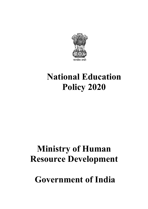

# **Ministry of Human Resource Development**

**Government of India**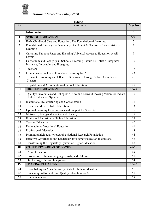

# **INDEX**

| No.                     | <b>Contents</b>                                                                                                    | Page No        |
|-------------------------|--------------------------------------------------------------------------------------------------------------------|----------------|
|                         | <b>Introduction</b>                                                                                                | 3              |
| I                       | <b>SCHOOL EDUCATION</b>                                                                                            | $6 - 30$       |
| $\mathbf{1}$            | Early Childhood Care and Education: The Foundation of Learning                                                     | 5              |
| $\overline{2}$          | Foundational Literacy and Numeracy: An Urgent & Necessary Pre-requisite to<br>Learning                             | $\overline{7}$ |
| $\overline{\mathbf{3}}$ | Curtailing Dropout Rates and Ensuring Universal Access to Education at All<br>Levels                               | 9              |
| $\overline{\mathbf{4}}$ | Curriculum and Pedagogy in Schools: Learning Should be Holistic, Integrated,<br>Inclusive, Enjoyable, and Engaging | 10             |
| 5                       | Teachers                                                                                                           | 18             |
| 6                       | Equitable and Inclusive Education: Learning for All                                                                | 23             |
| 7                       | Efficient Resourcing and Effective Governance through School Complexes/<br>Clusters                                | 26             |
| 8                       | Regulation and Accreditation of School Education                                                                   | 27             |
| $\mathbf{I}$            | <b>HIGHER EDUCATION</b>                                                                                            | 30-49          |
| 9                       | Quality Universities and Colleges: A New and Forward-looking Vision for India's<br>Higher Education System         | 30             |
| 10                      | Institutional Re-structuring and Consolidation                                                                     | 31             |
| 11                      | Towards a More Holistic Education                                                                                  | 33             |
| 12                      | Optimal Learning Environments and Support for Students                                                             | 35             |
| 13                      | Motivated, Energised, and Capable Faculty                                                                          | 38             |
| 14                      | Equity and Inclusion in Higher Education                                                                           | 39             |
| 15                      | <b>Teacher Education</b>                                                                                           | 40             |
| 16                      | Re-imagining Vocational Education                                                                                  | 41             |
| 17                      | Professional Education                                                                                             | 43             |
| 18                      | Promoting high quality research : National Research Foundation                                                     | 44             |
| 19                      | Effective Governance and Leadership for Higher Education Institutions                                              | 46             |
| 20                      | Transforming the Regulatory System of Higher Education                                                             | 47             |
| III                     | <b>OTHER KEY AREAS OF FOCUS</b>                                                                                    | 49-56          |
| 21                      | <b>Adult Education</b>                                                                                             | 49             |
| 22                      | Promotion of Indian Languages, Arts, and Culture                                                                   | 51             |
| 23                      | Technology Use and Integration                                                                                     | 54             |
| IV                      | <b>MAKING IT HAPPEN</b>                                                                                            | 56-60          |
| 24                      | Establishing an Apex Advisory Body for Indian Education                                                            | 56             |
| 25                      | Financing: Affordable and Quality Education for All                                                                | 58             |
| 26                      | Implementation                                                                                                     | 59             |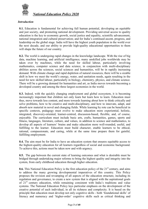

# *Introduction*

**0.1.** Education is fundamental for achieving full human potential, developing an equitable and just society, and promoting national development. Providing universal access to quality education is the key to economic growth, social justice and equality, scientific advancement, national integration and cultural preservation; and for India's continued ascent, progress, and leadership on the global stage. India will have the highest youth population in the world over the next decade, and our ability to provide high-quality educational opportunities to them will shape the future of our country.

**0.2.** The world is undergoing rapid changes in the knowledge landscape. With the rise of big data, machine learning, and artificial intelligence, many unskilled jobs worldwide may be taken over by machines, while the need for skilled labour, particularly involving mathematics, computer science and data science, in conjunction with multi-disciplinary abilities across the sciences, social sciences and humanities, will be in rapidly increasing demand. With climate change and rapid depletion of natural resources, there will be a sizable shift in how we meet the world's energy, water, and sanitation needs, again resulting in the need for new skilled labour, particularly in biology, chemistry, physics, and climate science. There will be a growing demand for humanities and art, as India moves towards becoming a developed country and among the three largest economies in the world.

**0.3.** Indeed, with the quickly changing employment and global ecosystem, it is becoming increasingly important that children not only learn but learn how to learn. Education must thus, move towards less content, and more towards learning about how to think critically and solve problems, how to be creative and multi-disciplinary, and how to innovate, adapt, and absorb new material in novel and changing fields. While learning by rote can be beneficial in specific contexts, pedagogy must evolve to make education more experiential, holistic, integrated, discovery-oriented, learner-centred, discussion-based, flexible, and, of course, enjoyable. The curriculum must include basic arts, crafts, humanities, games, sports and fitness, languages, literature, culture, and values, in addition to science and mathematics, to develop all aspects of learners' brains and make education more well-rounded, useful, and fulfilling to the learner. Education must build character, enable learners to be ethical, rational, compassionate, and caring, while at the same time prepare them for gainful, fulfilling employment.

**0.4.** The aim must be for India to have an education system that ensures equitable access to the highest-quality education for all learners regardless of social and economic background. To achieve this, actions must be taken now and with urgency.

**0.5.** The gap between the current state of learning outcomes and what is desirable must be bridged through undertaking major reforms to bring the highest quality and integrity into the system, from early childhood education through higher education.

**0.6.** This National Education Policy is the first education policy of the 21<sup>st</sup> century, and aims to address the many growing developmental imperatives of this country. This Policy proposes the revision and revamping of all aspects of the education structure, including its regulation and governance, to create a new system that is aligned with the aspirational goals of  $21<sup>st</sup>$  century education, while remaining consistent with India's traditions and value systems. The National Education Policy lays particular emphasis on the development of the creative potential of each individual, in all its richness and complexity. It is based on the principle that education must develop not only cognitive skills - both 'foundational skills' of literacy and numeracy and 'higher-order' cognitive skills such as critical thinking and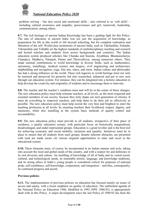

problem solving – but also social and emotional skills - also referred to as 'soft skills' including cultural awareness and empathy, perseverance and grit, teamwork, leadership, communication, among others.

**0.7.** The rich heritage of ancient Indian Knowledge has been a guiding light for this Policy. The aim of education in ancient India was not just the acquisition of knowledge, as preparation for life in this world or life beyond schooling, but for complete realisation and liberation of the self. World-class institutions of ancient India, such as Takshashila, Nalanda, Vikramshila and Vallabhi set the highest standards of multidisciplinary teaching and research and hosted scholars and students from across backgrounds and countries. The Indian education system produced scholars like Charaka and Susruta, Aryabhata, Bhaskaracharya, Chanakya, Madhava, Patanjali, Panini and Thiruvalluvar, among numerous others. They made seminal contributions to world knowledge in diverse fields, such as mathematics, astronomy, metallurgy, medical science and surgery, civil engineering and architecture, shipbuilding and navigation, yoga, fine arts, chess, and more. Indian culture and philosophy has had a strong influence on the world. These rich legacies to world heritage must not only be nurtured and preserved for posterity but also researched, enhanced and put to new uses through our education system. For instance, they can be integrated into a holistic education to help develop the creativity and originality of students and to encourage them to innovate.

**0.8.** The teacher and the teacher's condition must and will be at the centre of these changes. The new education policy must help reinstate teachers, at all levels, as the most respected and essential members of our society, because they truly shape our next generation of citizens. It must do everything to empower teachers, and help them to do their job as effectively as possible. The new education policy must help recruit the very best and brightest to enter the teaching profession at all levels, by ensuring teachers their livelihood, respect, dignity, and autonomy, while also installing in the system basic methods of quality control and accountability.

**0.9.** The new education policy must provide to all students, irrespective of their place of residence, a quality education system, with particular focus on historically marginalised, disadvantaged, and under-represented groups. Education is a great leveller and is the best tool for achieving economic and social mobility, inclusion and equality. Initiatives must be in place to ensure that all students from such groups, despite inherent obstacles, are presented with (and are made aware of) various targeted opportunities to enter and excel in the educational system.

**0.10.** These elements must, of course, be incorporated in an Indian manner and style, taking into account the local and global needs of the country, and with a respect for and deference to its rich diversity and culture. An instilling of knowledge of all of India and its varied social, cultural, and technological needs, its inimitable artistic, language, and knowledge traditions, and its strong ethics in India's young people is considered critical for purposes of national pride, self-confidence, self-knowledge, cooperation, and integration – and thus, consequently, its continued progress and ascent.

## **Previous policies**

**0.11.** The implementation of previous policies on education has focused mainly on issues of access and equity, with a lesser emphasis on quality of education. The unfinished agenda of the National Policy on Education 1986, Modified in 1992 (NPE 1986/92), is appropriately dealt with in this Policy. A major development since the last Policy of 1986/92 has been the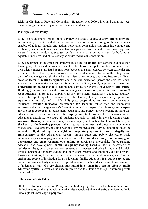

Right of Children to Free and Compulsory Education Act 2009 which laid down the legal underpinnings for achieving universal elementary education.

# **Principles of this Policy**

**0.12.** The foundational pillars of this Policy are access, equity, quality, affordability and accountability. It believes that the purpose of education is to develop good human beings capable of rational thought and action, possessing compassion and empathy, courage and resilience, scientific temper and creative imagination, with sound ethical moorings and values. It aims at producing engaged, productive, and contributing citizens for building an equitable, inclusive, and plural society as envisaged by our Constitution.

**0.13.** The principles on which this Policy is based are: **flexibility**, for learners to choose their learning trajectories and programmes, and thereby choose their paths in life according to their own talents interests; **no hard separations** between arts and sciences, between curricular and extra-curricular activities, between vocational and academic, etc., to ensure the integrity and unity of knowledge and eliminate harmful hierarchies among, and silos between, different areas of learning; **multi-disciplinary** and a holistic education (across the sciences, social sciences, arts, humanities, and sports) for a multidisciplinary world; emphasis on **conceptual understanding** (rather than rote learning and learning-for-exams), on **creativity and critical thinking** (to encourage logical decision-making and innovation), on **ethics and human & Constitutional values** (e.g., empathy, respect for others, cleanliness, etiquette, courtesy, democratic spirit, spirit of service, scientific temper, liberty, responsibility, pluralism, equality and justice), and on **life skills** (e.g., cooperation, teamwork, communication, resilience); **regular formative assessment for learning** rather than the summative assessment that encourages today's 'coaching culture'; a **respect for diversity** and **respect for the local context** in all curriculum, pedagogy, and policy, always keeping in mind that education is a concurrent subject; full **equity and inclusion** as the cornerstone of all educational decisions, to ensure all students are able to thrive in the education system; **resource efficiency** without any compromise on equity and quality; **teachers and faculty as the heart of the learning process** – their rigorous recruitment and preparation, continuous professional development, positive working environments and service conditions must be assured; a **'light but tight' oversight and regulatory system** to ensure **integrity** and **transparency** of the educational system (through audit and public disclosure) while simultaneously encouraging innovation and out-of-the-box ideas through **autonomy, good governance** and **empowerment**; **outstanding research** as a prerequisite for outstanding education and development; **continuous policy-making** based on regular assessment of realities on the ground by educational experts; a rootedness and pride in India and its rich, diverse, ancient and modern culture and knowledge systems and traditions, and its forwardlooking aspirations, to be incorporated where relevant in an accurate manner, and form an anchor and source of inspiration for all education; finally, **education is a public service** and not a commercial activity or a source of profit; access to quality education must be considered a fundamental right of every citizen; **substantial investment in a strong, vibrant public education system -** as well as the encouragement and facilitation of true philanthropic private participation.

## **The vision of this Policy**

**0.14.** This National Education Policy aims at building a global best education system rooted in Indian ethos, and aligned with the principles enunciated above, thereby transforming India into a global knowledge superpower.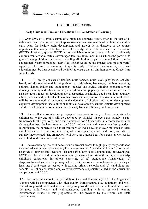

# **I. SCHOOL EDUCATION**

#### **1. Early Childhood Care and Education: The Foundation of Learning**

**1.1.** Over 85% of a child's cumulative brain development occurs prior to the age of 6, indicating the critical importance of appropriate care and stimulation of the brain in a child's early years for healthy brain development and growth. It is, therefore of the utmost importance that every child has access to quality early childhood care and education (ECCE). Presently, quality ECCE is not available to most young children, particularly children from economically disadvantaged families. Investment in ECCE has the potential to give all young children such access, enabling all children to participate and flourish in the educational system throughout their lives. ECCE would be the greatest and most powerful equaliser. Universal provisioning of quality early childhood development, care and education must be thus be achieved by 2030, to ensure that all children entering Grade 1 are school ready.

**1.2.** ECCE ideally consists of flexible, multi-faceted, multi-level, play-based, activitybased, and discovery-based learning about, e.g., alphabets, languages, numbers, counting, colours, shapes, indoor and outdoor play, puzzles and logical thinking, problem-solving, drawing, painting and other visual art, craft, drama and puppetry, music and movement. It also includes a focus on developing social capacities, sensitivity, good behaviour, courtesy, ethics, personal and public cleanliness, teamwork and cooperation. The overall aim of ECCE will be to attain optimal outcomes in the domains of physical and motor development, cognitive development, socio-emotional-ethical development, cultural/artistic development, and the development of communication and early language, literacy, and numeracy.

**1.3.** An excellent curricular and pedagogical framework for early childhood education for children up to the age of 8 will be developed by NCERT, in two parts, namely, a subframework for 0-3 year olds, and a sub-framework for 3-8 year olds, in accordance with the above guidelines, the latest research on ECCE, and national and international best practices. In particular, the numerous rich local traditions of India developed over millennia in early childhood care and education, involving art, stories, poetry, songs, and more, will also be suitably incorporated. The framework will serve as a guide both for parents as well as for early childhood education institutions.

**1.4.** The overarching goal will be to ensure universal access to high-quality early childhood care and education across the country in a phased manner. Special attention and priority will be given to districts and locations that are particularly socio-economically disadvantaged. ECCE shall be delivered through a significantly expanded and strengthened system of earlychildhood educational institutions consisting of (a) stand-alone Anganwadis; (b) Anganwadis co-located with primary schools; (c) pre-primary schools/sections covering at least age 5 to 6 years co-located with existing primary schools; and (d) stand-alone preschools - all of which would employ workers/teachers specially trained in the curriculum and pedagogy of ECCE.

<span id="page-5-0"></span>**1.5.** For universal access to Early Childhood Care and Education (ECCE), the Anganwadi Centres will be strengthened with high quality infrastructure, play equipment and welltrained Anganwadi workers/teachers. Every Anganwadi must have a well-ventilated, welldesigned, child-friendly and well-constructed building with an enriched learning environment. Funds for this programme will be provided by the Central and State governments.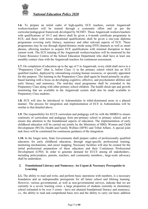

**1.6.** To prepare an initial cadre of high-quality ECE teachers, current Anganwadi workers/teachers will be trained through a systematic effort and as per the curricular/pedagogical framework developed by NCERT. Those Anganwadi workers/teachers with qualifications of  $10+2$  and above shall be given a 6-month certificate programme in ECE; and those with lower educational qualifications shall be given a one-year diploma programme covering early literacy, numeracy and other relevant aspects of ECE. These programmes may be run through digital/distance mode using DTH channels as well as smart phones, allowing teachers to acquire ECE qualifications with minimal disruption to their current work. The ECE training of the Anganwadi workers/teachers will be mentored by the Cluster Resource Centres of the School Education Department who shall have at least one monthly contact class with the Anganwadi teachers for continuous assessment.

**1.7.** On completion of education up to the age of 5 in Anganwadi, every child shall move to a "Preparatory Class" (that is, before Class 1) in the primary school which has an ECE qualified teacher, deployed by rationalising existing human resources, or specially appointed for this purpose. The learning in the Preparatory Class shall again be based primarily on playbased learning with a focus on developing cognitive, affective, and psychomotor abilities and early literacy and numeracy. The mid-day meal programme shall be extended to the Preparatory Class along with other primary school children. The health check-ups and growth monitoring that are available in the Anganwadi system shall also be made available to Preparatory Class students.

**1.8.** ECE will also be introduced in Ashramshalas in tribal-dominated areas in a phased manner. The process for integration and implementation of ECE in Ashramshalas will be similar to that detailed above.

**1.9.** The responsibility for ECCE curriculum and pedagogy will lie with the MHRD to ensure continuity of curriculum and pedagogy from pre-primary school to primary school, and to ensure due attention to the foundational aspects of education. The implementation of early childhood education will be carried out jointly by the Ministries of HRD, Women and Child Development (WCD), Health and Family Welfare (HFW) and Tribal Affairs. A special joint task force will be constituted for continuous guidance of the integration.

**1.10.** In the longer term, State Governments shall prepare cadres of professionally qualified educators for early childhood education, through stage-specific professional training, mentoring mechanisms, and career mapping. Necessary facilities will also be created for the initial professional preparation of these educators and their Continuous Professional Development (CPD). In order to generate demand for ECCE among all stakeholders-, including policymakers, parents, teachers, and community members-, large-scale advocacy shall be undertaken.

#### **2. Foundational Literacy and Numeracy: An Urgent & Necessary Prerequisite to Learning**

**2.1.** The ability to read and write, and perform basic operations with numbers, is a necessary foundation and an indispensable prerequisite for all future school and lifelong learning. However, various governmental, as well as non-governmental surveys, indicate that we are currently in a severe learning crisis: a large proportion of students currently in elementary school estimated to be over 5 crores - have not attained foundational literacy and numeracy, i.e., the ability to read and comprehend basic text and the ability to carry out basic addition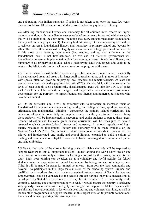

and subtraction with Indian numerals. If action is not taken soon, over the next few years, then we could lose 10 crores or more students from the learning system to illiteracy.

**2.2** Attaining foundational literacy and numeracy for all children must receive an urgent national attention, with immediate measures to be taken on many fronts and with clear goals that will be attained in the short term (including that every student must attain foundational literacy and numeracy by Grade 3). The very highest priority of the education system will be to achieve universal foundational literacy and numeracy in primary school and beyond by 2025. The rest of this Policy will be largely irrelevant for such a large portion of our students if this most basic learning requirement (i.e., reading, writing, and arithmetic at the foundational level) is not first achieved. To this end, all State/UT governments will immediately prepare an implementation plan for attaining universal foundational literacy and numeracy in all primary and middle schools, identifying stage-wise targets and goals to be achieved by 2025, and closely tracking and monitoring progress of the same.

**2.3.** Teacher vacancies will be filled as soon as possible, in a time -bound manner - especially in disadvantaged areas and areas with large pupil-to-teacher ratios, or high rates of illiteracy with special attention given to employing local teachers and female teachers. At least one teacher per class/grade and a pupil-teacher ratio (PTR) of under 30:1, will be ensured at the level of each school; socio-economically disadvantaged areas will aim for a PTR of under 25:1. Teachers will be trained, encouraged, and supported - with continuous professional development for the purpose - to impart foundational literacy and numeracy to students who have fallen behind.

**2.4.** On the curricular side, it will be extremely vital to introduce an increased focus on foundational literacy and numeracy - and generally, on reading, writing, speaking, counting, arithmetic, and mathematical thinking - throughout the primary school curriculum. The dedication of specific hours daily and regular events over the year, to activities involving these subjects, will be implemented to encourage and excite students to pursue these areas. Teacher education and the early grade school curriculum will be redesigned to have a renewed emphasis on foundational literacy and numeracy. A national repository of highquality resources on foundational literacy and numeracy will be made available on the National Teacher's Portal. Technological interventions to serve as aids to teachers will be piloted and implemented, and public and school libraries expanded to build a culture of reading and communication. Digital libraries will also be encouraged to be set up in all public and school libraries.

**2.5** Due to the scale of the current learning crisis, all viable methods will be explored to support teachers in this all-important mission. Studies around the world show one-on-one peer tutoring to be extremely effective for learning - not just for the learner, but also for the tutor. Thus, peer tutoring can be taken up as a voluntary and joyful activity for fellow students under the supervision of trained teachers and by taking due care of safety aspects. Third, it will be made far easier for trained volunteers - from both the local community and beyond - to participate in this large-scale mission of the schooling system. Trained and qualified social workers from civil society organizations/departments of Social Justices and Empowerment could be connected to the schools through various innovative mechanisms to be adopted by State/UT Governments. If every literate member of the community could commit to teaching one student/person how to read, it would change the country's landscape very quickly; this mission will be highly encouraged and supported. States may consider establishing innovative models to foster such peer-tutoring and volunteer activities, as well as launch other programmes to support teachers, in this urgent mission to promote foundational literacy and numeracy during this learning crisis.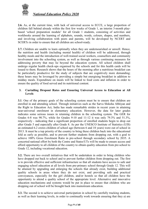

**2.6.** As, at the current time, with lack of universal access to ECCE, a large proportion of children fall behind already within the first few weeks of Grade 1, an interim 3-month playbased 'school preparation module' for all Grade 1 students, consisting of activities and workbooks around the learning of alphabets, sounds, words, colours, shapes, and numbers, and involving collaboration with peers and parents, will be developed by NCERT and SCERTs in order to ensure that all children are school-ready.

<span id="page-8-0"></span>**2.7.** Children are unable to learn optimally when they are undernourished or unwell. Hence, the nutrition and health (including mental health) of children will be addressed, through healthy meals and the introduction of well-trained social workers, counsellors and community involvement into the schooling system, as well as through various continuing measures for addressing poverty that may lie beyond the education system. All school children shall undergo regular health check-ups organised by the schools and for this health cards will be issued to them. Research shows that the hours of the morning after a nutritious breakfast can be particularly productive for the study of subjects that are cognitively more demanding; these hours may be leveraged by providing a simple but energising breakfast in addition to midday meals. Expenditure on meals will be linked to food costs and inflation in order to ensure the quality of food served and its nutritional content.

# **3. Curtailing Dropout Rates and Ensuring Universal Access to Education at All Levels**

**3.1**. One of the primary goals of the schooling system must be to ensure that children are enrolled in and attending school. Through initiatives such as the Sarva Shiksha Abhiyan and the Right to Education Act, India has made remarkable strides in recent years in attaining near-universal enrolment in elementary education. However, the data for later grades indicates some serious issues in retaining children in the schooling system. The GER for Grades 6-8 was 90.7%, while for Grades 9-10 and 11-12 it was only 79.3% and 51.3%, respectively - indicating that a significant proportion of enrolled students begin to drop out after Grade 5 and especially after Grade 8. As per the UNESCO Institute of Statistics (UIS) an estimated 6.2 crores children of school age (between 6 and 18 years) were out of school in 2013. It must be a top priority of the country to bring these children back into the educational fold as early as possible, and to prevent further students from dropping out, with a goal to achieve 100% Gross Enrolment Ratio in pre-school through secondary school by 2035. A concerted national effort by both the Centre and States/UTs will be made to ensure access and afford opportunity to all children of the country to obtain quality education from pre-school to Grade 12, including vocational education.

**3.2.** There are two overall initiatives that will be undertaken in order to bring children who have dropped out back to school and to prevent further children from dropping out. The first is to provide effective and sufficient infrastructure so that all students have access to safe and engaging school education at all levels from pre-primary school through Grade 12. This will be attained by upgrading and enlarging the schools that already exist, building additional quality schools in areas where they do not exist, and providing safe and practical conveyances, especially for the girl children, and/or hostels so that all children have the opportunity to attend a quality school of the appropriate level. Alternative and innovative education mechanisms and systems would be put in place to ensure that children who are dropping out of school will be brought back into mainstream education.

**3.3.** The second is to achieve universal participation in school by carefully tracking students, as well as their learning levels, in order to continually work towards ensuring that they a) are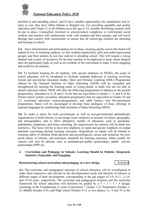

enrolled in and attending school, and b) have suitable opportunities for remediation and reentry in case they have fallen behind or dropped out. For providing equitable and quality education until Grade 12 to all children up to the age of 18, suitable facilitating systems shall be put in place. Counsellors recruited to schools/school complexes or well-trained social workers and teachers will continuously work with students and their parents, and will travel through and connect with communities to ensure that all school-age children are attending and learning in school.

<span id="page-9-0"></span>**3.4.** Once infrastructure and participation are in place, ensuring quality across the board will indeed be key in retaining students, so that students (particularly girls and under-represented groups) and their parents do not lose interest in attending school. This will require a strong channel and system of incentives for the best teachers to be deployed to areas where dropout rates are particularly high, as well as an overhaul of the curriculum to make it more engaging and useful for all students.

**3.5.** To facilitate learning for all students, with special emphasis on SEDGs, the scope of school education will be broadened to facilitate multiple pathways to learning involving formal and non-formal education modes. Open and Distance Learning (ODL) Programmes offered by the National Institute of Open Schooling (NIOS) will be expanded and strengthened for meeting the learning needs of young people in India who are not able to attend a physical school. NIOS will offer the following programmes in addition to the present programmes: education at A, B and C levels that are equivalent to Grades 3, 5, and 8 of the formal school system; secondary education programmes that are equivalent to Grades 10 and 12; vocational education courses/programmes; and adult literacy and life-enrichment programmes. States will be encouraged to develop State analogues of these offerings in regional languages by establishing State Institutes of Open Schooling (SIOS).

**3.6.** To make it easier for both governments as well as non-governmental philanthropic organisations to build schools, to encourage local variations on account of culture, geography, and demographics, and to allow alternative models of education, such as gurukulas, pathshaalas, madarasas, and home schooling, the requirements for schools will be made less restrictive. The focus will be to have less emphasis on input and greater emphasis on output potential concerning desired learning outcomes. Regulations on inputs will be limited to ensuring safety of children (both physical and psychological), access and inclusion, the nonprofit nature of schools, and minimum standards for learning outcomes. Other models for schools will also be piloted, such as philanthropic-public partnerships, public –private partnerships (PPP) etc.

## **4. Curriculum and Pedagogy in Schools: Learning Should be Holistic, Integrated, Inclusive, Enjoyable, and Engaging**

#### **Restructuring school curriculum and pedagogy in a new design 5+3+3+4**

**4.1.** The curricular and pedagogical structure of school education will be reconfigured to make them responsive and relevant to the developmental needs and interests of learners at different stages of their development, corresponding to the age ranges of 3-8, 8-11, 11-14, and 14-18 years, respectively. The curricular and pedagogical structure and the curricular framework for school education will therefore be guided by a  $5 + 3 + 3 + 4$  design, consisting of the Foundational (3 years of preschool  $+$  Grades 1-2), Preparatory (Grades 3-5), Middle (Grades 6-8), and High school (Grades 9-12 in two phases, i.e. 9 and 10 in the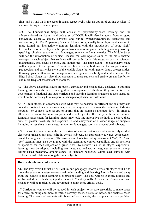

first and 11 and 12 in the second) stages respectively, with an option of exiting at Class 10 and re-entering in the next phase .

**4.2.** The Foundational Stage will consist of play/activity-based learning and the aforementioned curriculum and pedagogy of ECCE. It will also include a focus on good behaviour, courtesy, ethics, personal and public hygiene/cleanliness, teamwork and cooperation, etc. The Preparatory Stage will transition gradually from play-based learning to more formal but interactive classroom learning, with the introduction of some (light) textbooks, in order to lay a solid groundwork across subjects, including reading, writing, speaking, physical education, art, languages, science, and mathematics. The Middle Stage will see the introduction of subject teachers for learning/discussion of the more abstract concepts in each subject that students will be ready for at this stage, across the sciences, mathematics, arts, social sciences, and humanities. The High School (or Secondary) Stage will comprise of four years of multidisciplinary study, building on the subject-oriented pedagogical and curricular style of the Middle Stage, but with greater depth, greater critical thinking, greater attention to life aspirations, and greater flexibility and student choice. The High School Stage may also allow exposure to more subjects and enable greater flexibility, and more frequent assessment of modules.

**4.3.** The above-described stages are purely curricular and pedagogical, designed to optimize learning for students based on cognitive development of children; they will inform the development of national and state curricula and teaching-learning strategies at each stage, but it will not be necessary to make parallel changes to physical infrastructure.

**4.4.** All four stages, in accordance with what may be possible in different regions, may also consider moving towards a semester system, or a system that allows the inclusion of shorter modules - or courses (such as arts or sports) that are taught on alternate days - in order to allow an exposure to more subjects and enable greater flexibility with more frequent formative assessment for learning. States may look into innovative methods to achieve these aims of greater flexibility and exposure to and enjoyment of a wider range of subjects, including across the arts, sciences, humanities, languages, sports, and vocational subjects.

**4.5.** To close the gap between the current state of learning outcomes and what is truly needed, classroom transactions may shift in certain subjects, as appropriate towards competencybased learning and education. The assessment tools (including assessment "as", "of" and "for" learning) must also be aligned with the learning outcomes, capabilities and dispositions as specified for each subject of a given class. To achieve this, in all stages, experiential learning must be adopted, including arts integrated and sports integrated education, storytelling based pedagogy, among others, as standard pedagogy within each subject, with explorations of relations among different subjects.

## **Holistic development of learners**

**4.6.** The key overall thrust of curriculum and pedagogy reform across all stages will be to move the education system towards real understanding and *learning how to learn* - and away from the culture of rote learning as is present today. The goal will be to create holistic and well-rounded individuals equipped with key 21<sup>st-</sup>century skills. All aspects of curriculum and pedagogy will be reoriented and revamped to attain these critical goals.

**4.7** Curriculum content will be reduced in each subject to its core essentials, to make space for critical thinking and more holistic, discovery-based, discussion-based, and analysis-based learning. The mandated contents will focus on key concepts, ideas, applications, and problem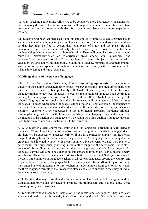

-solving. Teaching and learning will strive to be conducted more interactively; questions will be encouraged, and classroom sessions will regularly contain more fun, creative, collaborative, and exploratory activities for students for deeper and more experiential learning.

**4.8.** Students will be given increased flexibility and choice of subjects to study, particularly in secondary school - including subjects in physical education, the arts, and vocational crafts – so that they may be free to design their own paths of study and life plans. Holistic development and a wide choice of subjects and courses year to year will be the new distinguishing feature of secondary school education. There will be no hard separation among 'curricular', 'extra-curricular', or 'co-curricular' areas, among 'arts', 'humanities', and 'sciences', or between 'vocational' or 'academic' streams. Subjects such as physical education, the arts, and vocational crafts, in addition to science, humanities, and mathematics, will be seriously incorporated throughout the school curriculum, with a consideration for what is interesting and safe at each age.

## **Multilingualism and the power of language**

**4.9.** It is well-understood that young children learn and grasp non-trivial concepts more quickly in their home language/mother tongue. Wherever possible, the medium of instruction until at least Grade 5, but preferably till Grade 8 and beyond, will be the home language/mother-tongue/local language. Thereafter, the home/local language shall continue to be taught as a language wherever possible. This will be followed by both public and private schools. High-quality textbooks, including in science, will be made available in home languages. In cases where home-language textbook material is not available, the language of the transaction between teachers and students will still remain the home language wherever possible. Teachers will be encouraged to use a bilingual approach, including bilingual teaching-learning materials, with those students whose home language may be different from the medium of instruction. All languages will be taught with high quality; a language does not need to be the medium of instruction for it to be learned well.

**4.10.** As research clearly shows that children pick up languages extremely quickly between the ages of 2 and 8 and that multilingualism has great cognitive benefits to young students, children will be exposed to languages early on (but with a particular emphasis on the mother tongue), starting from the Foundational Stage onwards. All languages will be taught in an enjoyable and interactive style, with plenty of interactive conversation, and with plenty of early reading and subsequently writing in the mother tongue in the early years – with skills developed for reading and writing in the other two languages in Grade 3 and beyond. All language learning will aim to be experiential and enhanced through art, such as music, poetry, and theatre. There will be a major effort from both the Central and State governments to invest in large numbers of language teachers in all regional languages around the country, and in particular all Schedule 8 languages. States, especially states from different regions of India, may enter bilateral agreements to hire teachers in large numbers from each other, to satisfy the three-language formula in their respective states, and also to encourage the study of Indian languages across the country.

**4.11.** The three-language formula will continue to be implemented while keeping in mind the Constitutional provisions, the need to promote multilingualism and national unity while providing for greater flexibility.

**4.12.** Students whose medium of instruction is the local/home language will begin to learn science and mathematics, bilingually in Grade 6 so that by the end of Grade 9 they can speak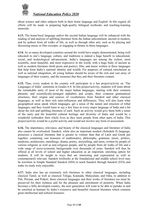

about science and other subjects both in their home language and English. In this regard, all efforts will be made in preparing high-quality bilingual textbooks and teaching-learning materials.

**4.13.** The home/local language and/or the second Indian language will be enhanced with the reading of and analysis of uplifting literature from the Indian subcontinent, ancient to modern, and by authors from all walks of life, as well as through other arts, such as by playing and discussing music or film excerpts, or engaging in theatre in these languages.

**4.14.** As so many developed countries around the world have amply demonstrated, being well educated in one's language, culture, and traditions is indeed a huge benefit to educational, social, and technological advancement. India's languages are among the richest, most scientific, most beautiful, and most expressive in the world, with a huge body of ancient as well as modern literature (both prose and poetry), film, and music written in these languages that help form India's national identity and wealth. For purposes of cultural enrichment as well as national integration, all young Indians should be aware of the rich and vast array of languages of their country, and the treasures that they and their literature contain.

**4.15.** Thus, every student in the country will participate in a fun project/activity on 'The Languages of India' sometime in Grades 6-8. In this project/activity, students will learn about the remarkable unity of most of the major Indian languages, starting with their common phonetic and scientifically-arranged alphabets and scripts, their common grammatical structures, their origins and sources of vocabularies from Sanskrit and other classical languages, as well as their rich inter-influences and differences. They will also learn what geographical areas speak which languages, get a sense of the nature and structure of tribal languages, and they would learn to say a few lines in every major language of India and a bit about the rich and uplifting literature of each. Such an activity would give them both a sense of the unity and the beautiful cultural heritage and diversity of India and would be a wonderful icebreaker their whole lives as they meet people from other parts of India. This project/activity would be a joyful activity and would not involve any form of assessment.

**4.16.** The importance, relevance, and beauty of the classical languages and literature of India also cannot be overlooked. Sanskrit, while also an important modern (Schedule 8) language, possesses a classical literature that is greater in volume than that of Latin and Greek put together, containing vast treasures of mathematics, philosophy, grammar, music, politics, medicine, architecture, metallurgy, drama, poetry, storytelling, and more, written by people of various religions as well as non-religious people, and by people from all walks of life and a wide range of socio-economic backgrounds over thousands of years. Sanskrit will thus be offered at all levels of school and higher education as an important, enriching option for students. It will be taught in ways that are interesting and experiential as well as contemporarily relevant. Sanskrit textbooks at the foundational and middle school level may be rewritten in Simple Standard Sanskrit (SSS) to teach Sanskrit through Sanskrit (STS) and make its study truly enjoyable.

**4.17.** India also has an extremely rich literature in other classical languages, including classical Tamil, as well as classical Telugu, Kannada, Malayalam, and Odia, in addition to Pali, Persian, and Prakrit; these classical languages and their works of literature too must be preserved for their richness and for the pleasure and enrichment of posterity. When India becomes a fully developed country, the next generation will want to be able to partake in and be enriched as humans by India's extensive and beautiful classical literature which contains great intellectual and cultural treasures.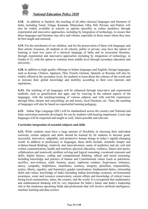

**4.18.** In addition to Sanskrit, the teaching of all other classical languages and literature of India, including Tamil, Telugu, Kannada, Malayalam, Odia, Pali, Persian, and Prakrit, will also be widely available in schools as options (possibly as online modules), through experiential and innovative approaches, including by integration of technology, to ensure that these languages and literature stay alive and vibrant, especially in those states where they may be best taught and nurtured.

**4.19.** For the enrichment of our children, and for the preservation of these rich languages and their artistic treasures, all students in all schools, public or private, may have the option of learning at least two years of a classical language of India and its associated literature, through experiential and innovative approaches including by integration of technology, in Grades 6-12, with the option to continue from middle level through secondary education and university.

**4.20.** In addition to high quality offerings in Indian languages and English, foreign languages, such as Korean, Chinese, Japanese, Thai, French, German, Spanish, or Russian will also be widely offered at the secondary level, for students to learn about the cultures of the world and to increase their global knowledge and mobility according to their own interests and aspirations.

**4.21.** The teaching of all languages will be enhanced through innovative and experiential methods, such as gamification and apps, and by weaving in the cultural aspects of the languages, with the teaching-learning of various subjects and with real-life experiences through films, theatre and storytelling, art and music, local literature, etc. Thus, the teaching of languages will also be based on experiential learning pedagogy.

**4.22.** Indian Sign Language (ISL) will be standardised across the country and National and State curriculum materials developed, for use by students with hearing impairment. Local sign languages will be respected and taught as well, where possible and relevant.

## **Curricular integration of essential subjects and skills**

**4.23.** While students must have a large amount of flexibility in choosing their individual curricula, certain subjects and skills should be learned by all students to become good, successful, innovative, adaptable, and productive human beings in today's rapidly-changing world. In addition to proficiency in languages, these skills include: scientific temper and evidence-based thinking; creativity and innovativeness; sense of aesthetics and art; oral and written communication; health and nutrition; physical education, wellness, fitness and sports; collaboration and teamwork; problem solving and logical reasoning; vocational exposure and skills; digital literacy, coding and computational thinking; ethical and moral reasoning; including knowledge and practice of human and Constitutional values (such as patriotism, sacrifice, non-violence, truth, honesty, peace, righteous conduct, forgiveness, tolerance, mercy, sympathy, helpfulness, cleanliness, courtesy, integrity, pluralism, responsibility, justice, liberty, equality, and fraternity); gender sensitisation; fundamental duties, citizenship skills and values; knowledge of India (including Indian knowledge systems); environmental awareness, water and resource conservation; current affairs and knowledge of critical issues facing local communities, states, the country, and the world. It is recognised that mathematics and mathematical thinking will be very important for India's future and India's leadership role in the numerous upcoming fields and professions that will involve artificial intelligence, machine learning and data science.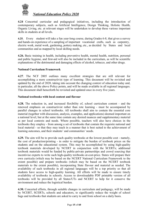

**4.24** Concerted curricular and pedagogical initiatives, including the introduction of contemporary subjects, such as Artificial Intelligence, Design Thinking, Holistic Health, Organic Living, etc. at relevant stages will be undertaken to develop these various important skills in students at all levels.

**4.25.** Every student will take a fun year-long course, during Grades 6-8, that gives a survey and hands-on experience of a sampling of important vocational crafts, such as carpentry, electric work, metal work, gardening, pottery making, etc., as decided by States and local communities and as mapped by local skilling needs.

**4.26.** Basic training in health, including preventive health, mental health, nutrition, personal and public hygiene, and first-aid will also be included in the curriculum, as will be scientific explanations of the detrimental and damaging effects of alcohol, tobacco, and other drugs.

#### **National Curriculum Framework**

**4.27**. The NCF 2005 outlines many excellent strategies that are still relevant for accomplishing a more constructivist type of learning. This document will be revisited and updated by the end of 2020, taking into account the changing context of education today and, in particular, all the above Policy points, and will be made available in all regional languages. This document shall henceforth be revisited and updated once in every five years.

#### **National textbooks with local content and flavour**

**4.28.** The reduction in, and increased flexibility of, school curriculum content - and the renewed emphasis on constructivist rather than rote learning - must be accompanied by parallel changes in school textbooks. All textbooks shall aim to contain the essential core material (together with discussion, analysis, examples, and applications) deemed important on a national level, but at the same time contain any desired nuances and supplementary material as per local contexts and needs. Where possible, teachers will also have choices in the textbooks they employ - from among a set of textbooks that contain the requisite national and local material - so that they may teach in a manner that is best suited to the achievement of learning outcomes, and their students' and communities' needs.

**4.29.** The aim will be to provide such quality textbooks at the lowest possible cost - namely, the cost of production/printing - in order to mitigate the burden of textbook prices on the students and on the educational system. This may be accomplished by using high-quality textbook materials developed by NCERT in conjunction with the SCERTs; additional textbook materials would be funded by public-private partnerships and crowd sourcing that incentivise experts to write such high-quality textbooks at-cost-price. States will prepare their own curricula (which may be based on the NCERT National Curriculum Framework to the extent possible) and prepare textbooks (which may be based on the NCERT textbook materials to the extent possible), incorporating State flavour and material as needed. The availability of such textbooks in all regional languages will be a top priority so that all students have access to high-quality learning. All efforts will be made to ensure timely availability of textbooks in schools. Access to downloadable PDF printable version of all textbooks will be provided by all States/UTs and NCERT to help for it conserve the environment and reduce the logistical burden.

**4.30.** Concerted efforts, through suitable changes in curriculum and pedagogy, will be made by NCERT, SCERTs, schools and educators, to significantly reduce the weight of school bags and textbooks that students are asked to carry to and from school on a daily basis.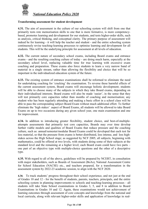

#### **Transforming assessment for student development**

**4.31.** The aim of assessment in the culture of our schooling system will shift from one that primarily tests rote memorisation skills to one that is more formative, is more competencybased, promotes learning and development for our students, and tests higher-order skills, such as analysis, critical thinking, and conceptual clarity. The primary purpose of assessment will indeed be for learning - it will help the teacher and student - and the entire schooling system continuously revise teaching-learning processes to optimise learning and development for all students. This will be the underlying principle for assessment at all levels of education.

**4.32.** The current nature of secondary school exams, including Board exams and entrance exams - and the resulting coaching culture of today - are doing much harm, especially at the secondary school level, replacing valuable time for true learning with excessive exam coaching and preparation. These exams also force students to learn a very narrow band of material in a single stream, rather than allowing the flexibility and choice that will be so important in the individualized education system of the future.

**4.33.** The existing system of entrance examinations shall be reformed to eliminate the need for undertaking coaching for 'cracking' the examination. To reverse these harmful effects of the current assessment system, Board exams will encourage holistic development; students will be able to choose many of the subjects in which they take Board exams, depending on their individualised interests. Board exams will also be made 'easier', in the sense that they will test primarily core capacities rather than months of coaching and memorisation; any student who has been regularly attending and making a basic effort in a school class will be able to pass the corresponding subject Board Exam without much additional effort. To further eliminate the 'high stakes' aspect of Board Exams, all students will be allowed to take Board Exams on up to two occasions during any given school year, one main examination and one for improvement.

**4.34.** In addition to introducing greater flexibility, student choice, and best-of-multipleattempts assessments that primarily test core capacities, Boards may over time develop further viable models and qualities of Board Exams that reduce pressure and the coaching culture, such as: annual/semester/modular Board Exams could be developed that each test far less material, so that the pressure from exams is better distributed, less intense, and less highstakes across the High School stage; as suggested by NCF 2005, all subjects, beginning with mathematics, could be offered at two levels, with students doing some of their subjects at the standard level and the remaining at a higher level; each Board exam could have two parts – one part of an objective type with multiple-choice questions and the other of a descriptive type.

**4.35.** With regard to all of the above, guidelines will be prepared by NCERT, in consultation with major stakeholders, such as Boards of Assessment (BoAs), National Assessment Centre for School Education (NACSE) etc., and teachers prepared, for a transformation in the assessment system by 2022-23 academic session, to align with the NCF 2020.

**4.36**. To track students' progress throughout their school experience, and not just at the end of Grades 10 and 12 - for the benefit of students, parents, teachers, principals, and the entire schooling system in planning improvements to schools and teaching-learning processes - all students will take State School examinations in Grades 3, 5, and 8 in addition to Board Examinations in Grades 10 and 12. Again, these examinations would test achievement of learning outcomes through assessment of core concepts and knowledge from the national and local curricula, along with relevant higher-order skills and application of knowledge in real-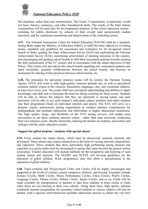

life situations, rather than rote memorisation. The Grade 3 examination, in particular, would test basic literacy, numeracy, and other foundational skills. The results of the State School examinations will be used only for developmental purposes of the school education system including for public disclosure by schools of their overall (and anonymized) student outcomes, and for continuous monitoring and improvement of the schooling system.

**4.37.** The National Assessment Centre for School Education (NACSE) shall be a standardsetting Body under the Ministry of Education (MoE), to fulfil the basic objectives of setting norms, standards and guidelines for assessment and evaluation for all recognised school boards of India, guiding the State Achievement Survey (SAS) and undertaking the National Achievement Survey (NAS), monitoring achievement of learning outcomes in the country, and encouraging and guiding school boards to shift their assessment patterns towards meeting the skill requirements of the  $21<sup>st</sup>$  century and in consonance with the stated objectives of this Policy. This Centre will also advise the school boards regarding new assessment patterns and latest researches, promote collaborations between the school boards, and become an instrument for sharing of best practices between school boards, etc.

**4.38.** The principles for university entrance exams will be similar; the National Testing Agency (NTA) will work to offer high-quality common aptitude test, as well as specialised common subject exams in the sciences, humanities, languages, arts, and vocational subjects, at least twice every year. The exams shall test conceptual understanding and abilities to apply knowledge, and shall aim to eliminate the need for taking coaching for these exams. Students will be able to choose the subjects that they are interested in having tested, and each university will be able to see each student's individual subject portfolio and admit students into their programmes based on individual interests and talents. The NTA will serve as a premier, expert, autonomous testing organisation to conduct entrance examinations for undergraduate and graduate admissions and fellowships in higher educational institutions. The high quality, range, and flexibility of the NTA testing services will enable most universities to use these common entrance exams - rather than each university conducting their own entrance exam- thereby drastically reducing the burden on students, universities and colleges, and the entire education system.

## **Support for gifted students / students with special talents**

**4.39.** Every student has innate talents, which must be discovered, nurtured, fostered, and developed. These talents may express themselves in the form of varying interests, dispositions, and capacities. Those students that show particularly high performing strong interests and capacities in a given realm must be encouraged to pursue that realm beyond the general school curriculum. Teacher education will include methods for the recognition and fostering of such student talents and interests. The NCERT and NCFTE will develop guidelines for the education of gifted children. B.Ed. programmes may also allow a specialisation in the education of gifted children.

**4.40.** Topic-centered and Project-based Clubs and Circles will be highly encouraged and supported at the levels of schools, school complexes, districts, and beyond. Examples include Science Circles, Math Circles, Music Performance Circles, Chess Circles, Poetry Circles, Language Circles, Drama Circles, Debate Circles, Sports Circles, and so on. Funds will be made available for transportation of teachers to take their students to these circles or clubs when these are not meeting at their own schools. Along these lines, high quality national residential summer programmes for secondary school students in various subjects will also be funded, with a rigorous merit-based but equitable admissions process to attract the very best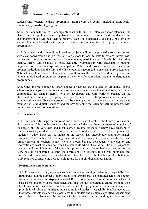

students and teachers to these programmes from across the country including from socioeconomically disadvantaged group.

**4.41.** Teachers will aim to encourage students with singular interests and/or talents in the classroom by giving them supplementary enrichment material and guidance and encouragement and will help them to organise such Topic-centered Clubs and Circles through specific funding allocated for this purpose , and will recommend them to appropriate summer programmes.

**4.42.** Olympiads and competitions in various subjects will be strengthened across the country, with clear coordination and progression from school to local to state to national levels, with the necessary funding to ensure that all students may participate at all levels for which they qualify. Efforts will be made to make available Olympiads in rural areas and in regional languages to ensure widespread participation. Public and private universities, including premier institutions like the IITs and NITs, would be encouraged to use results from Regional, National, and International Olympiads, as well as results from and work in regional and national topic-based programmes, as part of the criteria for admissions into their undergraduate programmes.

<span id="page-17-0"></span>**4.43.** Once internet-connected smart phones or tablets are available in all homes and/or schools, online apps with quizzes, competitions, assessments, enrichment materials, and online communities for shared interests will be developed, and will work to enhance all the aforementioned initiatives (as group activities for students, with appropriate supervision of parents and teachers).Every classroom will be developed into a smart classroom in a phased manner, for using digital pedagogy and thereby enriching the teaching-learning process, with online resources and collaborations.

## **5. Teachers**

**5. 1.** Teachers truly shape the future of our children - and, therefore, the future of our nation. It is because of this noblest role that the teacher in India was the most respected member of society. Only the very best and most learned became teachers. Society gave teachers, or gurus, what they needed in order to pass on their knowledge, skills, and ethics optimally to students. Today, however, the status of the teacher has undoubtedly and unfortunately dropped. The quality of training, recruitment, deployment, service conditions and empowerment of teachers is not where it should be, and consequently, the quality and motivation of teachers does not reach the standards where it could be. The high respect for teachers and the high status of the teaching profession must be revived and restored for the very best to be inspired to enter the profession, for teachers to be well-motivated and empowered to innovate, and for education to therefore reach the heights and levels that are truly required to ensure the best possible future for our children and our nation.

## **Recruitment and deployment**

**5.2.** To ensure that truly excellent students enter the teaching profession - especially from rural areas - a large number of merit-based scholarships shall be instituted across the country for study at outstanding 4-year integrated B.Ed. programmes. In rural areas, special meritbased scholarships will be established that also include preferential employment in their local areas upon successful completion of their B.Ed. programmes. Such scholarships will provide local job opportunities to outstanding local students (especially female students), so that these students may serve as local-area role models and as highly-qualified teachers who speak the local language. Incentives will be provided for outstanding teachers to take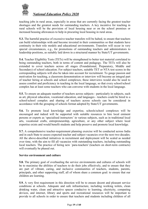

teaching jobs in rural areas, especially in areas that are currently facing the greatest teacher shortages and the greatest needs for outstanding teachers. A key incentive for teaching in rural schools will be the provision of local housing near or on the school premises or increased housing allowances to help in procuring local housing in rural areas.

**5.3.** The harmful practice of excessive teacher transfers will be halted, to ensure that teachers can build relationships with and become invested in their communities so that students have continuity in their role models and educational environments. Transfers will occur in very special circumstances, e.g., for promotions of outstanding teachers and administrators to leadership positions, as suitably laid down in a structured manner by State/UT governments.

**5.4.** Teacher Eligibility Tests (TETs) will be strengthened to better test material correlated to being outstanding teachers, both in terms of content and pedagogy. The TETs will also be extended to cover teachers across all stages (Foundational, Preparatory, Middle and Secondary) of school education. For subject teachers, suitable TET or NTA test scores in the corresponding subjects will also be taken into account for recruitment. To gauge passion and motivation for teaching, a classroom demonstration or interview will become an integral part of teacher hiring at schools and school complexes; these interviews would also be used to assess comfort and proficiency in teaching in the local language, so that every school/school complex has at least some teachers who can converse with students in the local language.

**5.5.** To ensure an adequate number of teachers across subjects - particularly in subjects, such as art, physical education, vocational education, and languages - teachers could be hired to a school/school complex and sharing of teachers across schools can be considered in accordance with the grouping of schools format adopted by State/UT governments.

**5.6.** To promote local knowledge and expertise, schools/school complexes will be encouraged and indeed will be supported with suitable resources to hire local eminent persons or experts as 'specialised instructors' in various subjects, such as in traditional local arts, vocational crafts, entrepreneurship, agriculture, or any other subject where local expertise exists and would benefit students and help preserve and promote local knowledge.

**5.7.** A comprehensive teacher-requirement planning exercise will be conducted across India and in each State to assess expected teacher and subject vacancies over the next two decades. All the above-described initiatives in recruitment and deployment will be scaled as needed over time, with the aim to fill all vacancies with outstanding teachers, including outstanding local teachers. The practice of hiring new 'para-teachers' (teachers on short-term contracts) will eventually be phased out.

## **Service environment and culture**

**5.8.** The primary goal of overhauling the service environments and cultures of schools will be to maximise the abilities of teachers to do their jobs effectively, and to ensure that they are part of vibrant, caring, and inclusive communities of teachers, students, parents, principals, and other supporting staff, all of whom share a common goal: to ensure that our children are learning.

**5.9.** A very first requirement in this direction will be to ensure decent and pleasant service conditions at schools. Adequate and safe infrastructure, including working toilets, clean drinking water, clean and attractive spaces conducive to learning, electricity, computing devices, and internet, library and sports and recreational resources will be important to provide to all schools in order to ensure that teachers and students including children of all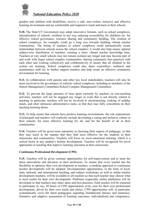

genders and children with disabilities, receive a safe, non-violent, inclusive and effective learning environment and are comfortable and inspired to teach and learn in their schools.

**5.10.** The State/UT Government may adopt innovative formats, such as school complexes, rationalization of schools, (without in any way reducing accessibility for children) etc. for effective school governance, resource sharing and community building. The creation of school complexes, for example, could go a long way towards building vibrant teacher communities. The hiring of teachers to school complexes could automatically create relationships between schools across the school complex; it would also help ensure optimal subject-wise distribution of teachers, creating a more vibrant teacher knowledge base. Teachers at very small schools may not remain isolated any longer and may become part of and work with larger school complex communities, sharing community best practices with each other and working collectively and collaboratively to ensure that all children in the system are learning. School complexes could also share counsellors, technical and maintenance staff etc. to further support teachers and help create an effective community environment for learning.

**5.11.** In collaboration with parents and other key local stakeholders, teachers will also be more involved in the governance of schools/ school complexes, including as members of the School Management Committees/School Complex Management Committees.

**5.12.** To prevent the large amounts of time spent currently by teachers on non-teaching activities, teachers will not be engaged any longer in work that is not directly related to teaching in particular, teachers will not be involved in electioneering, cooking of midday meals, and other strenuous administrative tasks, so that they may fully concentrate on their teaching-learning duties.

**5.13.** To help ensure that schools have positive learning environments, the role expectations of principals and teachers will explicitly include developing a caring and inclusive culture at their schools, for more effective learning for all, and for the benefit of all in their communities.

**5.14.** Teachers will be given more autonomy in choosing finer aspects of pedagogy, so that they may teach in the manner that they find most effective for the students in their classrooms and communities. Teachers will focus on socio-emotional learning, which is a critical factor in any student's holistic development. Teachers will be recognised for novel approaches to teaching that improve learning outcomes in their classrooms.

#### **Continuous Professional Development (CPD)**

**5.15.** Teachers will be given constant opportunities for self-improvement and to learn the latest innovations and advances in their profession. To ensure that every teacher has the flexibility to optimise their own development as teachers, a modular approach to continuous teacher development will be adopted. Developmental opportunities, in the form of local, state, national, and international teaching, and subject workshops, as well as online teacher development modules, will be available to all teachers so that each teacher may choose what is most useful for their own development. Platforms (especially online platforms) will be developed so that teachers may share ideas and best practices. Each teacher will be expected to participate in, say, 50 hours of CPD opportunities every year for their own professional development, driven by their own needs and choice. CPD opportunities will, in particular, systematically cover the latest pedagogies regarding foundational literacy and numeracy, formative and adaptive assessment of learning outcomes, individualised and competency-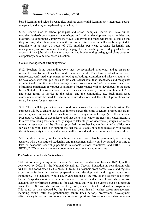

based learning and related pedagogies, such as experiential learning, arts-integrated, sportsintegrated, and storytelling-based approaches, etc.

**5.16.** Leaders such as school principals and school complex leaders will have similar modular leadership/management workshops and online development opportunities and platforms to continuously improve their own leadership and management skills, and so that they too may share best practices with each other. Such leaders will also be expected to participate in at least 50 hours of CPD modules per year, covering leadership and management, as well as content and pedagogy for the teaching and pedagogy-leadership aspects of their jobs with a focus on preparing and implementing pedagogical plans based on competency and outcome-based education.

#### **Career management and progression**

**5.17.** Teachers doing outstanding work must be recognised, promoted, and given salary raises, to incentivise all teachers to do their best work. Therefore, a robust merit-based tenure (i.e., confirmed employment following probation), promotion and salary structure will be developed, with multiple levels within each teacher rank that incentivises and recognises excellent and committed teachers through tenure, promotions, and salary increases. A system of multiple parameters for proper assessment of performance will be developed for the same by the State/UT Government based on peer reviews, attendance, commitment, hours of CPD, and other forms of service to the school and the community, etc. Such merit-based assessments would be used to determine tenure decisions and the rate of promotions and salary increases for each teacher.

**5.18.** There will be parity in-service conditions across all stages of school education. The approach will be to ensure that growth in one's career (in terms of tenure, promotions, salary increases, etc.) is available to teachers within a single school stage (i.e., Foundational, Preparatory, Middle, or Secondary), and that there is no career progression-related incentive to move from being teachers in early stages to later stages or vice versa (though such career moves across stages will be allowed, provided the teacher has the desire and qualifications for such a move). This is to support the fact that all stages of school education will require the highest-quality teachers, and no stage will be considered more important than any other.

**5.19.** Vertical mobility of teachers based on merit will also be paramount; outstanding teachers with demonstrated leadership and management skills would be trained over time to take on academic leadership positions in schools, school complexes, and BRCs, CRCs, BITEs, DIETs as well as relevant government departments and ministries.

## **Professional standards for teachers:**

**5.20** A common guiding set of National Professional Standards for Teachers (NPST) will be developed by 2022, by the National Council for Teacher Education in consultation with NCERT and coordinated by the NCERT, SCERTs, teachers from across levels and regions, expert organisations in teacher preparation and development, and higher educational institutions. The standards would cover expectations of the role of the teacher at different levels of expertise/ rank, and the competencies required for that rank. It will also comprise standards for performance appraisal, for each rank, that would be carried out on a periodic basis. The NPST will also inform the design of pre-service teacher education programmes. This could be then adopted by the States and determine all teacher career management, including tenure (after the probationary/ tenure track period), professional development efforts, salary increases, promotions, and other recognitions. Promotions and salary increases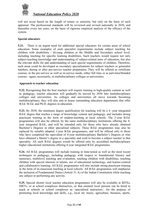

will not occur based on the length of tenure or seniority, but only on the basis of such appraisal. The professional standards will be reviewed and revised nationally in 2030, and thereafter every ten years, on the basis of rigorous empirical analysis of the efficacy of the system.

#### **Special educators**

**5.21.** There is an urgent need for additional special educators for certain areas of school education. Some examples of such specialist requirements include subject teaching for children with disabilities / divyang children at the Middle and Secondary school level, including teaching for specific learning disabilities. Such teachers would require not only subject-teaching knowledge and understanding of subject-related aims of education, but also the relevant skills for and understanding of such special requirements of children. Therefore, such areas could be developed as secondary specialisations for subject teachers or generalist teachers, during or after pre-service teacher preparation. They will be offered as certificate courses, in the pre-service as well as in-service mode, either full time or as part-time/blended courses - again, necessarily, at multidisciplinary colleges or universities.

#### **Approach to teacher education**

**5.22.** Recognising that the best teachers will require training in high-quality content as well as pedagogy, teacher education will gradually be moved by 2030 into multidisciplinary colleges and universities. As colleges and universities all move towards becoming multidisciplinary, they will also aim to house outstanding education departments that offer B.Ed. M.Ed. and Ph.D. degrees in education.

**5.23.** By 2030, the minimum degree qualification for teaching will be a 4 -year integrated B.Ed. degree that teaches a range of knowledge content and pedagogy, and includes strong practicum training in the form of student-teaching at local schools. The 2-year B.Ed. programmes will also be offered, by the same multidisciplinary institutions offering the 4 year integrated B.Ed., and will be intended only for those who have already obtained Bachelor's Degrees in other specialised subjects. These B.Ed. programmes may also be replaced by suitably adapted 1-year B.Ed. programmes, and will be offered only to those who have completed the equivalent of 4-year multidisciplinary Bachelor's Degrees or who have obtained a Master's degree in a speciality and wish to become a subject teacher in that speciality. All such B.Ed. degrees would be offered only by accredited multidisciplinary higher educational institutions offering 4-year integrated B.Ed. programmes.

**5.24.** All B.Ed. programmes will include training in time-tested as well as the most recent techniques in pedagogy, including pedagogy with respect to foundational literacy and numeracy, multilevel teaching and evaluation, teaching children with disabilities, teaching children with special interests or talents, use of educational technology, and learner-centred and collaborative learning. All B.Ed. programmes will also include strong practicum training in the form of in-classroom teaching at local schools. All B.Ed. programmes will emphasise the inclusion of Fundamental Duties (Article 51 A) of the Indian Constitution while teaching any subject or performing any activity.

**5.25.** Special shorter local teacher education programmes will also be available at BITEs, DIETs, or at school complexes themselves, so that eminent local persons can be hired to teach at schools or school complexes as 'specialised instructors', for the purpose of promoting local knowledge and skills, e.g., local art, music, agriculture, business, sports,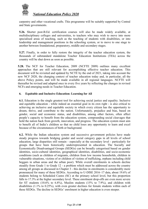

carpentry and other vocational crafts. This programme will be suitably supported by Central and State governments.

**5.26.** Shorter post-B.Ed. certification courses will also be made widely available, at multidisciplinary colleges and universities, to teachers who may wish to move into more specialised areas of teaching, such as the teaching of students with disabilities, or into leadership and management positions in the schooling system, or to move to one stage to another between foundational, preparatory, middle and secondary stages.

**5.27.** Finally, in order to fully restore the integrity of the teacher education system, the thousands of substandard standalone Teacher Education Institutions (TEIs) across the country will be shut down as soon as possible.

**5.28.** The NCF for Teacher Education, 2009 (NCFTE 2009) outlines many excellent approaches that are still relevant for accomplishing effective teacher education. This document will be revisited and updated by NCTE by the end of 2021, taking into account the new NCF 2020, the changing context of teacher education today and, in particular, all the above Policy points, and will be made available in all regional languages. NCFTE will thereafter be revised and adapted once in every five years by reflecting the changes in revised NCFs and emerging needs in Teacher Education.

## **6. Equitable and Inclusive Education: Learning for All**

**6.1.** Education is the single greatest tool for achieving social justice and equality. Inclusive and equitable education - while indeed an essential goal in its own right - is also critical to achieving an inclusive and equitable society in which every citizen has the opportunity to dream, thrive, and contribute to the nation. Unfortunately, prejudice and bias, based on gender, social and economic status, and disabilities, among other factors, often affect people's capacity to benefit from the education system, compounding social cleavages that hold the nation back from growth, innovation, and progress. The education system must aim to benefit all of India's children so that no child loses any opportunity to learn and excel because of the circumstances of birth or background.

**6.2.** While the Indian education system and successive government policies have made steady progress towards bridging gender and social category gaps in all levels of school education, large disparities still remain - especially at the secondary level - particularly for groups that have been historically underrepresented in education. The Socially and Economically Disadvantaged Groups (SEDGs) can be broadly categorised based on gender identities, socio-cultural identities, geographical identities, disabilities, and socio-economic conditions (such as children of migrants, children from low income households, children in vulnerable situations, victims of or children of victims of trafficking, orphans including child beggars in urban areas and the urban poor). While overall enrolments in schools decline steadily from Grade 1 to Grade 12 - a problem which must be addressed across the country among all groups as discussed in Chapter 3 - this decline in enrolments is considerably more pronounced for many of these SEDGs. According to U-DISE 2016–17 data, about 19.6% of students belong to Scheduled Castes (SC) at the primary school level, but this proportion falls to 17.3% at the higher secondary level. These enrolment drop-offs are even more severe for ST students (10.6% to 6.8%), Muslim students (15% to 7.9%), and children with disabilities (1.1% to 0.25%), with even greater declines for female students within each of these SEDGs. The decline in SEDGs' enrolment in higher education is even steeper.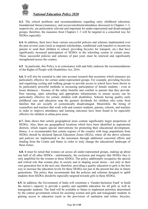

**6.3.** The critical problems and recommendations regarding early childhood education, foundational literacy/numeracy, and access/enrolment/attendance discussed in Chapters 1–3, respectively, are particularly relevant and important for under-represented and disadvantaged groups; therefore, the measures from Chapters 1–3 will be targeted in a concerted way for SEDGs especially.

**6.4.** In addition, there have been various successful policies and schemes implemented over the past several years (such as targeted scholarships, conditional cash transfers to incentivise parents to send their children to school, providing bicycles for transport, etc.) that have significantly increased participation of SEDGs in the schooling system in certain areas. These successful policies and schemes of past years must be renewed and significantly strengthened across the country.

**6.5** In particular, this Policy is in consonance with and fully endorses the recommendations of the Rights of People with Disabilities Act, 2016.

**6.6.** It will also be essential to take into account research that ascertains which measures are particularly effective for certain under-represented groups. For example, providing bicycles and organising cycling and walking groups to provide access to school have been shown to be particularly powerful methods in increasing participation of female students - even at lesser distances - because of the safety benefits and comfort to parents that they provide. Peer tutoring, open schooling and appropriate infrastructure to ensure access can be particularly effective for certain children with disabilities. Schools having quality early childhood care and education reap the greatest dividends for children who come from families that are socially or economically disadvantaged. Meanwhile, the hiring of counsellors and teachers that work with and connect students, parents, schools, and teachers in order to improve attendance and learning outcomes have been found to be especially effective for children in urban poor areas.

**6.7.** Data shows that certain geographical areas contain significantly larger proportions of SEDGs. Also, there are geographical locations which have been identified as aspirational districts, which require special interventions for promoting their educational development. Hence, it is recommended that certain regions of the country with large populations from SEDGs should be declared Special Education Zones (SEZs), where all the above schemes and policies are implemented to the maximum through additional concerted efforts and funding from the Centre and States in order to truly change the educational landscape of these Zones.

**6.8.** It must be noted that women cut across all under-represented groups, making up about one half of all other SEDGs - unfortunately, the exclusion and inequity that SEDGs face is only amplified for the women in those SEDGs. The policy additionally recognises the special and critical role that women play in society and in shaping social mores - not only in their own generation but in the next one; therefore, providing a quality education to girls is the best way to increase the education levels for these SEDGs not just in the present but also in future generations. The policy thus recommends that the policies and schemes designed to uplift students from SEDGs should be especially targeted towards girls in these SEDGs.

**6.9.** In addition, the Government of India will constitute a 'Gender-Inclusion Fund' to build the nation's capacity to provide a quality and equitable education for all girls as well as transgender students. The fund will be available to States to implement priorities determined by the central government critical for assisting women and girls and transgender students in gaining access to education (such as the provisions of sanitation and toilets, bicycles,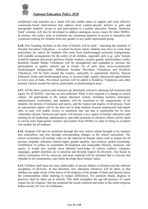

conditional cash transfers etc.); funds will also enable states to support and scale effective community-based interventions that address local context-specific barriers to girls and transgender students' access to and participation in a quality education. Similar 'Inclusion Fund' schemes will also be developed to address analogous access issues for other SEDGs. In essence, this policy aims to eliminate any remaining disparity in access to education and vocational training for children from any gender or any under-represented group.

<span id="page-24-0"></span>**6.10.** Free boarding facilities in the form of hostels will be built – matching the standard of Jawahar Navodaya Vidyalayas – in school locations where students may have to come from particularly far, and/or for students who come from disadvantaged economic backgrounds, with suitable arrangements for the safety of all children, especially girls (e.g., girls' hostels would be separate and secure and have female wardens, security guards, and boundary walls). Kasturba Gandhi Balika Vidyalayas will be strengthened and expanded to increase the participation in quality schools (up to Grade 12) of girls from socio-economically disadvantaged backgrounds. Additional Jawahar Navodaya Vidyalayas and Kendriya Vidyalayas will be built around the country, especially in aspirational districts, Special Education Zones and disadvantaged areas, to increase high -quality educational opportunities in every area of India. Pre-school sections will be added to Kendriya Vidyalayas and other primary schools around the nation, particularly in disadvantaged areas.

**6.11.** All the above policies and measures are absolutely critical to attaining full inclusion and equity for all SEDGs - but they are not sufficient. What is also required is a change in school culture. All participants in the school education system, including teachers, principals, administrators, counsellors, and students, will be sensitised to the requirements of all students, the notions of inclusion and equity, and the respect and dignity of all persons. Such an educational culture will be the best tool to help students become empowered individuals who, in turn, will enable society to transform into one that is responsible for its most vulnerable citizens. Inclusion and equity will become a key aspect of teacher education (and training for all leadership, administrative, and other positions in schools); efforts will be made to recruit more high-quality teachers and leaders from SEDGs in order to bring in excellent role models for all students.

**6.12.** Students will also be sensitised through this new school culture brought in by teachers and counsellors, and also through corresponding changes in the school curriculum. The school curriculum will include, early on, the material on human values such as respect for all persons, empathy, tolerance, human rights, gender equality, non-violence, global citizenship, contribution of culture in sustainable development and sustainable lifestyle, inclusion, and equity. It would also include more detailed knowledge of various cultures, religions, languages, gender identities etc to sensitise and develop respect for diversity. Any biases in school curriculum will be removed, and more material will be included that is relevant and relatable to all communities, and which develops these human values.

**6.13.** Children shall learn the basic philosophy of ancient Indian civilisation and the inherent acceptance of diversity. In this direction, new education initiatives will be taken so that children are made aware of the basics of all religions of the people of India and thereby know the commonalities while learning to respect differences. No sectarian rituals, dogmas or practices shall be taken up in schools. This shall strengthen the age-old practice of 'equal respect for all religions' that has sustained the social cohesion and amity in the multi-religious Indian society for over two millennia.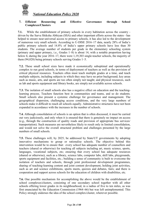

# **7. Efficient Resourcing and Effective Governance through School Complexes/Clusters**

**7.1.** While the establishment of primary schools in every habitation across the country driven by the Sarva Shiksha Abhiyan (SSA) and other important efforts across the states - has helped to ensure near-universal access to primary schools, it has also led to the development of numerous very small schools. According to U-DISE 2016–17 data, nearly 28% of India's public primary schools and 14.8% of India's upper primary schools have less than 30 students. The average number of students per grade in the elementary schooling system (primary and upper primary, i.e., Grades 1–8) is about 14, with a notable proportion having below 6; during the year 2016–17, there were 1,19,303 single-teacher schools, the majority of them (94,028) being primary schools serving Grades 1–5.

**7.2.** These small school sizes have made it economically suboptimal and operationally complex to run good schools, in terms of deployment of teachers as well as the provision of critical physical resources. Teachers often must teach multiple grades at a time, and teach multiple subjects, including subjects in which they may have no prior background; key areas such as music, arts, and sports are too often simply not taught; and physical resources, such as lab and sports equipment and library books, are simply not available across schools.

**7.3.** The isolation of small schools also has a negative effect on education and the teachinglearning process. Teachers function best in communities and teams, and so do students. Small schools also present a systemic challenge for governance and management. The geographical dispersion, challenging access conditions, and the very large numbers of schools make it difficult to reach all schools equally. Administrative structures have not been expanded in accordance with the increases in the number of schools.

**7.4.** Although consolidation of schools is an option that is often discussed, it must be carried out very judiciously, and only when it is ensured that there is genuinely no impact on access (e.g., through the construction of quality roads and provision of appropriate bus services/ transportation). Such measures are nevertheless likely to result only in limited consolidation, and would not solve the overall structural problem and challenges presented by the large numbers of small schools.

**7.5.** These challenges will, by 2025, be addressed by State/UT governments by adopting innovative mechanisms to group or rationalise schools. The objective behind this intervention would be to ensure that: every school has adequate number of counsellors and teachers (shared or otherwise) for teaching all subjects including art, music science, sports, languages, vocational subjects, etc; ensuring that every school has adequate resources (shared or otherwise), such as a library, science labs, computer labs, skill labs, playgrounds, sports equipment and facilities, etc.; building a sense of community is built to overcome the isolation of teachers and schools, through joint professional development programmes, sharing of teaching-learning content and joint content development, holding joint activities, such as art and science exhibitions, sports meets, quizzes and debates, fairs; and there is cooperation and support across schools for the education of children with disabilities, etc.

<span id="page-25-0"></span>**7.6.** One possible mechanism for accomplishing the above would be the establishment of school complexes/clusters, consisting of one secondary school together with all other schools offering lower grades in its neighbourhood, in a radius of five to ten miles, as was first enunciated by the Education Commission (1964–66) but was left unimplemented. This Policy strongly endorses the idea of the school complex/cluster, wherever possible.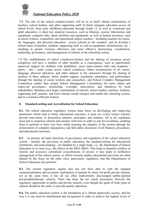

**7.7.** The aim of the school complex/cluster will be to a) build vibrant communities of teachers, school leaders, and other supporting staff; b) better integrate education across all school levels, from early childhood education through Grade 12, as well as vocational and adult education; c) share key material resources, such as libraries, science laboratories and equipment, computer labs, sports facilities and equipment, as well as human resources, such as social workers, counsellors, and specialised subject teachers - including teachers for music, art, languages, and physical education - across schools in the complex; and d) develop a critical mass of teachers, students, supporting staff, as well as equipment, infrastructure, etc. resulting in greater resource efficiency and more effective functioning, coordination, leadership, governance, and management of schools in the schooling system.

7.8 The establishment of school complexes/clusters and the sharing of resources across complexes will have a number of other benefits as a consequence, such as significantly improved support for children with disabilities, more topic-centred clubs and academic / sports / arts / crafts events across school complexes, better incorporation of art, music, language, physical education, and other subjects in the classroom through the sharing of teachers in these subjects, better student support, enrolment, attendance, and performance through the sharing of social workers and counsellors, and School Complex Management Committees (rather than simply School Management Committees) for more robust and improved governance, monitoring, oversight, innovations, and initiatives by local stakeholders. Building such larger communities of schools, school leaders, teachers, students, supporting staff, parents, and local citizens would energise and enable the schooling system, and in a resource-efficient manner.

# **8. Standard-setting and Accreditation for School Education**

**8.1.** The school education regulatory system must focus on developing and improving parameters which lead to better educational outcomes; it must *not* overly restrict schools, prevent innovation, or demoralise teachers, principals, and students. All in all, regulation must aim to empower schools and teachers with trust in order to aim for excellence, enabling them to perform at their very best, while ensuring the integrity of the system through the enforcement of complete transparency and full public disclosure of all finances, procedures, and educational outcomes.

**8.2.** At present, all main functions of governance and regulation of the school education system - namely, the provision of public education, the standard-setting for educational institutions, and policymaking - are handled by a single body, i.e., the Department of School Education or its arms (e.g., the offices of the DEO, BEO). This leads to harmful conflicts of interest and excessive centralised concentrations of power; it also leads to ineffective management of the school system, as efforts towards quality educational provision are often diluted by the focus on the other roles, particularly regulation, that the Departments of School Education also perform.

**8.3.** The current regulatory regime also has not been able to curb the rampant commercialisation and economic exploitation of parents by many for-profit private schools, yet at the same time; it has all too often inadvertently discouraged public-spirited private/philanthropic schools. There has been far too much asymmetry between the regulatory approaches to public and private schools, even though the goals of both types of schools should be the same: to provide quality education.

**8.4.** The public education system is the foundation of a vibrant democratic society, and the way it is run must be transformed and invigorated in order to achieve the highest levels of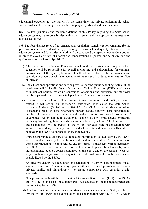

educational outcomes for the nation. At the same time, the private philanthropic school sector must also be encouraged and enabled to play a significant and beneficial role.

**8.5.** The key principles and recommendations of this Policy regarding the State school education system, the responsibilities within that system, and the approach to its regulation are thus as follows.

**8.6.** The four distinct roles of governance and regulation, namely (a) policymaking (b) the provision/operation of education, (c) ensuring professional and quality standards in the education system and (d) academic work will be conducted by separate independent bodies, in order to avoid conflicts of interest and concentrations of power, and to ensure due and quality focus on each role. Specifically:

- a) The Department of School Education which is the apex state-level body in school education will be responsible for overall monitoring and policymaking for continual improvement of the system; however, it will not be involved with the provision and operation of schools or with the regulation of the system, in order to eliminate conflicts of interest.
- b) The educational operations and service provision for the public schooling system of the whole state will be handled by the Directorate of School Education (DSE); it will work to implement policies regarding educational operations and provision, but otherwise will be separated from and work independently of the apex body above.
- c) To ensure that all schools follow certain minimal professional and quality standards, states/UTs will set up an independent, state-wide, body called the State School Standards Authority (SSSA) for the State/UT. The SSSA will establish a minimal set of standards based on basic parameters (namely, safety, security, basic infrastructure, number of teachers across subjects and grades, probity, and sound processes of governance), which shall be followed by all schools. This will bring down significantly the heavy load of regulatory mandates currently borne by schools. The framework for these parameters will be created by the SCERT for each state in consultation with various stakeholders, especially teachers and schools. Accreditation and self-audit will be used by the SSSA to implement these frameworks.

Transparent public disclosure of all regulatory information, as laid down by the SSSA, will be used extensively for public oversight and accountability. The dimensions on which information has to be disclosed, and the format of disclosure, will be decided by the SSSA. It will have to be made available and kept updated by all schools, on the aforementioned public website maintained by the SSSA and on the schools' websites. Any complaints or grievances arising out of the information on the public domain shall be adjudicated by the SSSA.

An effective quality self-regulation or accreditation system will be instituted for all stages of education. This regulatory system will also cover all pre-school education private, public, and philanthropic - to ensure compliance with essential quality standards.

New private schools will have to obtain a License to Start a School (LSS) from SSSA this will be on the basis of a transparent self-declaration on the requirements and criteria set up by the SSSA.

d) Academic matters, including academic standards and curricula in the State, will be led by the SCERT (with close consultation and collaboration with the NCERT), which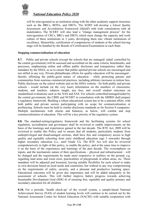

will be reinvigorated as an institution along with the other academic support structures such as the BRCs, BITEs, and DIETs. The SCERT will develop a School Quality Assessment and Accreditation Framework (SQAAF) with wide consultations with all stakeholders. The SCERT will also lead a "change management process" for the reinvigoration of CRCs, BRCs and DIETs which must change the capacity and work culture of these institutions in 3 years, developing them into vibrant institutions of excellence. Meanwhile, certification of competencies of students at the school-leaving stage will be handled by the Boards of Certification/Examination in each State.

## **Stopping commercialisation of education**

**8.7.** Public and private schools (except the schools that are managed/ aided/ controlled by the central government) will be assessed and accredited on the same criteria, benchmarks, and processes, emphasising online and offline public disclosure and transparency rather than mandates by the SSSA, so as to ensure that public-spirited private schools are encouraged and not stifled in any way. Private philanthropic efforts for quality education will be encouraged thereby affirming the public-good nature of education - while protecting parents and communities from usurious commercial practices, including arbitrary increases in tuition fees. Public disclosure on the school website and on the SSSA website - for both public and private schools - would include (at the very least) information on the numbers of classrooms, students, and teachers, subjects taught, any fees, and overall student outcomes on standardised evaluations such as the NAS and SAS. For schools controlled/managed/aided by the central government, the CBSE and NCERT in consultation with the MHRD shall prepare a regulatory framework. Building a robust educational system has to be a national effort, with both public and private sectors participating with no scope for commercialisation or profiteering. Schools must be held to similar disclosure standards as for Section 8 companies. Multiple mechanisms with checks and balances, as below, will combat and stop commercialisation of education. This will be a key priority of the regulatory system.

**8.8.** The standard-setting/regulatory framework and the facilitating systems for school regulation, accreditation and governance shall be reviewed to enable improvements on the basis of the learnings and experiences gained in the last decade. The RTE Act, 2009 will be reviewed to enable this Policy and to ensure that all students, particularly students from underprivileged and disadvantaged sections, shall have free and compulsory access to high quality and equitable schooling from early childhood education (age 3 onwards) through higher secondary education (i.e., until Grade 12). The RTE Act will also be reviewed comprehensively in light of this policy, to enable the policy, and at the same time to improve it on the basis of the experiences and learnings of the past decade. The overemphasis on inputs, and the mechanistic nature of their specifications – physical and infrastructural – will be changed and the requirements be made more responsive to realities on the ground, e.g. regarding land areas and room sizes, practicalities of playgrounds in urban areas, etc. These mandates will be adjusted and loosened, leaving suitable flexibility for each school to make its own decisions based on local needs and constraints, but without in any way compromising on the requirements of safety, security, and a pleasant and productive learning space. Educational outcomes will be given due importance and will be added adequately in the assessment of schools. This will further improve India's progress towards achieving Sustainable Development Goal (SDG 4) of ensuring free, equitable and quality primary and secondary education for all children.

**8.10.** For a periodic 'health check-up' of the overall system, a sample-based National Achievement Survey (NAS) of student learning levels will continue to be carried out by the National Assessment Centre for School Education (NACSE) with suitable cooperation with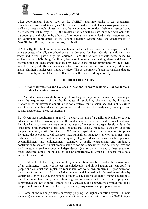

other governmental bodies- such as the NCERT– that may assist in e.g. assessment procedures as well as data analysis. The assessment will cover students across government as well as private schools. States will also be encouraged to conduct their own census-based State Assessment Survey (SAS), the results of which will be used only for developmental purposes, public disclosure by schools of their overall and anonymised student outcomes, and for continuous improvement of the school education system. Until the establishment of NACSE, NCERT may continue to carry out NAS.

**8.12.** Finally, the children and adolescents enrolled in schools must not be forgotten in this whole process; after all, the school system is designed for them. Careful attention to their safety and rights- particularly girl children -, and the various difficult issues faced by adolescents especially the girl children, issues such as substance or drug abuse and forms of discrimination and harassment, must be provided with the highest importance by the system, with clear, safe, and efficient mechanisms for reporting and for due process on any infractions against children's/adolescents' rights or safety. The development of such mechanisms that are effective, timely, and well-known to all students will be accorded high priority.

# <span id="page-29-0"></span>**II. HIGHER EDUCATION**

#### **9. Quality Universities and Colleges: A New and Forward looking Vision for India's Higher Education System**

**9.1.** As India moves towards becoming a knowledge society and economy - and keeping in view the requirements of the fourth industrial revolution, characterised by increasing proportion of employment opportunities for creative, multidisciplinary and highly skilled workforce - the higher education system must, at the earliest, be re-adjusted, re-vamped, and re-energised to meet these requirements.

**9.2.** Given these requirements of the  $21<sup>st</sup>$  century, the aim of a quality university or college education must be to develop good, well-rounded, and creative individuals. It must enable an individual to study one or more specialised areas of interest at a deeper level, while at the same time build character, ethical and Constitutional values, intellectual curiosity, scientific temper, creativity, spirit of service, and 21<sup>st</sup> century capabilities across a range of disciplines including the sciences, social sciences, arts, humanities, languages, as well as professional, technical, and vocational crafts. A quality higher education must enable personal accomplishment and enlightenment, constructive public engagement, and productive contribution to society. It must prepare students for more meaningful and satisfying lives and work roles, and enable economic independence. Quality university and college education must, therefore, aim to be both a joy and an opportunity, to which all citizens must have access if they so desire.

**9.3.** At the level of society, the aim of higher education must be to enable the development of an enlightened, socially-conscious, knowledgeable, and skilled nation that can uplift its people and construct and implement robust solutions to its own problems. Higher education must thus form the basis for knowledge creation and innovation in the nation and thereby contribute deeply to a growing national economy. The purpose of quality higher education is, therefore, more than simply the creation of greater opportunities for individual employment; it represents the key to more vibrant, socially-engaged, and cooperative communities and a happier, cohesive, cultured, productive, innovative, progressive, and prosperous nation.

**9.4.** Some of the major problems currently plaguing the higher education system in India include: i) a severely fragmented higher educational ecosystem, with more than 50,000 higher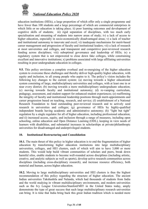

education institutions (HEIs), a large proportion of which offer only a single programme and have fewer than 100 students and a large percentage of which are commercial enterprises in which little or no education is taking place; ii) poor learning outcomes and development of cognitive skills of students; iii) rigid separation of disciplines, with too much early specialisation and streaming of students into narrow areas of study; iv) a lack of access to higher education, especially in socio-economically disadvantaged areas; v) a lack of teacher and institutional autonomy to innovate and excel; vi) inadequate mechanisms for merit-based career management and progression of faculty and institutional leaders; vii) a lack of research at most universities and colleges, and transparent and competitive peer-reviewed research funding across disciplines; viii) suboptimal governance and leadership of HEIs; ix) a regulatory system that is not empowered to close down fake colleges, while constraining excellent and innovative institutions; x) problems associated with large affiliating universities resulting in poor undergraduate education in colleges.

**9.5.** This policy envisions a complete overhaul and re-energising of the higher education system to overcome these challenges and thereby deliver high-quality higher education, with equity and inclusion, to all young people who aspire to it. The policy's vision includes the following key changes to the current system: (a) moving towards a higher educational system consisting of large, multidisciplinary universities and colleges, with at least one in or near every district; (b) moving towards a more multidisciplinary undergraduate education; (c) moving towards faculty and institutional autonomy; (d) re-vamping curriculum, pedagogy, assessment, and student support for enhanced student experiences; (e) reaffirming the integrity of faculty and institutional leadership positions through merit-appointments and career progression based on teaching, research, and service; (f) establishment of a National Research Foundation to fund outstanding peer-reviewed research and to actively seed research in universities and colleges; (g) governance of HEIs by highly-qualified independent boards having academic and administrative autonomy; (h) "light but tight" regulation by a single regulator for all of higher education, including professional education; and (i) increased access, equity, and inclusion through a range of measures, including open schooling, online education and Open Distance Learning (ODL), keeping in view needs of learners with disabilities, and substantial increases in scholarships at private/philanthropic universities for disadvantaged and underprivileged students.

## <span id="page-30-0"></span>**10. Institutional Restructuring and Consolidation**

**10.1.** The main thrust of this policy in higher education is to end the fragmentation of higher education by transforming higher education institutions into large multidisciplinary universities, colleges, and HEI clusters, each of which will aim to have 3,000 or more students. This would help build vibrant communities of scholars and peers, break down harmful silos, enable students to become well-rounded across disciplines (including artistic, creative, and analytic subjects as well as sports), develop active research communities across disciplines (including cross-disciplinary research), and increase resource efficiency, both material and human, across higher education.

**10.2.** Moving to large multidisciplinary universities and HEI clusters is thus the highest recommendation of this policy regarding the structure of higher education. The ancient Indian universities Takshashila and Nalanda, which had thousands of students from India and the world studying in vibrant multidisciplinary environments, and modern universities such as the Ivy League Universities/Stanford/MIT in the United States today, amply demonstrate the type of great success that such large multidisciplinary research universities can bring. It is time that India bring back this great Indian tradition which is needed more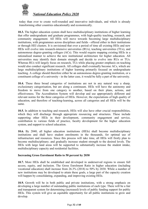

today than ever to create well-rounded and innovative individuals, and which is already transforming other countries educationally and economically.

**10.3.** The higher education system shall have multidisciplinary institutions of higher learning that offer undergraduate and graduate programmes, with high-quality teaching, research, and community engagement. All HEIs will move towards becoming large multidisciplinary institutions, with programmes across disciplines and fields - offered either in their institutions or through HEI clusters. It is envisioned that over a period of time all existing HEIs and new HEIs will evolve into research-intensive universities (RUs), teaching universities (TUs), and autonomous degree-granting colleges (ACs). This would require mapping existing HEIs in a rationalised manner to achieve the new institutional architecture for higher education. All universities may identify their domain strength and decide to evolve into RUs or TUs. Whereas RUs will largely focus on research, TUs while placing greater emphasis on teaching would also conduct significant research. All colleges shall eventually become ACs, which are large multidisciplinary institutions of higher learning primarily focused on undergraduate teaching. A college should therefore either be an autonomous degree-granting institution, or a constituent college of a university - in the latter case, it would be fully a part of the university.

**10.4.** These three broad categories of institutions are not in any natural way a sharp, exclusionary categorisation, but are along a continuum. HEIs will have the autonomy and freedom to move from one category to another, based on their plans, actions, and effectiveness. The Accreditation System will develop and use appropriately different and relevant norms for the three categories of HEIs. However, the expectations of high quality of education, and therefore of teaching-learning, across all categories and all HEIs will be the same.

**10.5.** In addition to teaching and research, HEIs will also have other crucial responsibilities, which they will discharge through appropriate resourcing and structures. These include supporting other HEIs in their development, community engagement and service, contribution to various fields of practice, faculty development for the higher education system, and support to school education.

**10.6.** By 2040, all higher education institutions (HEIs) shall become multidisciplinary institutions and shall have student enrolments in the thousands, for optimal use of infrastructure and resources. Since this process will take time, all HEIs will firstly plan to become multidisciplinary; and gradually increase student strength to the desired levels. The HEIs with large land areas will be supported to substantially increase the student intake, multidisciplinary capacity and residential facilities.

## **Increasing Gross Enrolment Ratio to 50 percent by 2030**

**10.7.** More HEIs shall be established and developed in underserved regions to ensure full access, equity, and inclusion. The Gross Enrolment Ratio in higher education (including vocational education) shall increase from 26.3% (2018) to 50% by 2030. While a number of new institutions may be developed to attain these goals, a large part of the capacity creation will happen by consolidating, expanding, and improving existing HEIs.

**10.9.** Growth will be in both public and private institutions, with a strong emphasis on developing a large number of outstanding public institutions of each type. There will be a fair and transparent system for determining (increased) levels of public funding support for public HEIs. This system will give an equitable opportunity for all public institutions to grow and develop.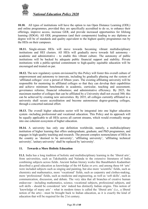

**10.10.** All types of institutions will have the option to run Open Distance Learning (ODL) and online programmes, provided they are specifically accredited to do so, to enhance their offerings, improve access, increase GER, and provide increased opportunities for lifelong learning (SDG4). All ODL programmes (and their components) leading to any diploma or degree will be of standards and quality equivalent to the highest quality programmes run by the HEIs on their campuses.

**10.11.** Single-stream HEIs will move towards becoming vibrant multidisciplinary institutions and HEI clusters. All HEIs will gradually move towards full autonomy academic and administrative - to enable this vibrant culture. The autonomy of public institutions will be backed by adequate public financial support and stability. Private institutions with a public-spirited commitment to high-quality equitable education will be encouraged and treated on par.

**10.12.** The new regulatory system envisioned by this Policy will foster this overall culture of empowerment and autonomy to innovate, including by gradually phasing out the system of 'affiliated colleges' over a period of fifteen years. The existing affiliating university will be responsible for mentoring its affiliated colleges so that they can develop their capabilities and achieve minimum benchmarks in academic, curricular, teaching and assessment; governance reforms; financial robustness; and administrative efficiency. By 2025, the maximum number of colleges that can be affiliated by a University shall not exceed 300; this can be achieved by creating new universities. By 2035, all colleges currently affiliated to a university shall secure accreditation and become autonomous degree-granting colleges, through a concerted national effort.

**10.13.** The overall higher education sector will be integrated into one higher education system -including professional and vocational education. This Policy and its approach will be equally applicable to all HEIs across all current streams, which would eventually merge into one coherent ecosystem of higher education.

**10.14.** A university has only one definition worldwide, namely, a multidisciplinary institution of higher learning that offers undergraduate, graduate, and PhD programmes, and engages in high-quality teaching and research. The present complex nomenclature of HEIs in the country as 'deemed to be university', 'affiliating university', 'affiliating technical university', 'unitary university' shall be replaced by 'university'.

## **11. Towards a More Holistic Education**

**11.1.** India has a long tradition of holistic and multidisciplinary learning in the 'liberal arts', from universities, such as Takshashila and Nalanda to the extensive literatures of India combining subjects across fields. Ancient Indian literary works like Banabhatta's Kadambari described a good education as knowledge of the 64 Kalas or *arts*; and among these 64 'arts' were included subjects such as singing and painting, but also more 'scientific' fields, such as chemistry and mathematics, more 'vocational' fields, such as carpentry and clothes-making, more 'professional' fields, such as medicine and engineering, as well as 'soft skills', such as communication, discussion, and debate. The very idea that all branches of creative human endeavour - including mathematics, science, vocational subjects, professional subjects, and soft skills - should be considered 'arts' indeed has distinctly Indian origins. This notion of 'knowledge of many arts' - what in modern times is called the 'liberal arts' (i.e., a liberal notion of the arts) - must be brought back to Indian education, as it is exactly the kind of education that will be required for the 21st century.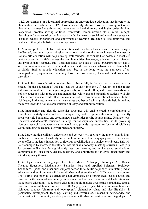

**11.2.** Assessments of educational approaches in undergraduate education that integrate the humanities and arts with STEM have consistently showed positive learning outcomes, including increased creativity and innovation, critical thinking and higher-order thinking capacities, problem-solving abilities, teamwork, communication skills, more in-depth learning and mastery of curricula across fields, increases in social and moral awareness etc, besides general engagement and enjoyment of learning. Research is also improved and enhanced through a holistic education approach.

**11.3.** A comprehensive holistic arts education will develop all capacities of human beings intellectual, aesthetic, social, physical, emotional, and moral - in an integrated manner. A holistic arts education will help develop well-rounded individuals that possess: critical 21<sup>st</sup> century capacities in fields across the arts, humanities, languages, sciences, social sciences, and professional, technical, and vocational fields; an ethic of social engagement; soft skills, such as communication, discussion and debate; and rigorous specialisation in a chosen field or fields. Such a holistic education shall be, in the long term, the approach of all undergraduate programmes, including those in professional, technical, and vocational disciplines.

**11.4.** A holistic arts education, as described so beautifully in India's past, is indeed what is needed for the education of India to lead the country into the  $21<sup>st</sup>$  century and the fourth industrial revolution. Even engineering schools, such as the IITs, will move towards more holistic education with more arts and humanities, while arts and humanities students will aim to learn more science -while all will make an effort to learn more vocational subjects. India's rich legacy in the arts as well as in the sciences and beyond will significantly help in making the move towards a holistic arts education an easy and natural transition.

**11.5.** Imaginative and flexible curricular structures will enable creative combinations of disciplines for study and would offer multiple entry and exit points, thus removing currently prevalent rigid boundaries and creating new possibilities for life-long learning. Graduate-level (master's and doctoral) education in large multidisciplinary universities, while providing rigorous research-based specialisation, would also provide opportunities for multidisciplinary work, including in academia, government and industry.

**11.6.** Large multidisciplinary universities and colleges will facilitate the move towards highquality arts education. Flexibility in curriculum and novel and engaging course options will be on offer to students, in addition to rigorous specialisation in a subject or subjects. This will be encouraged by increased faculty and institutional autonomy in setting curricula. Pedagogy for courses will strive for significantly less rote learning and an increased emphasis on communication, discussion, debate, research, and opportunities for cross-disciplinary and interdisciplinary thinking.

**11.7.** Departments in Languages, Literature, Music, Philosophy, Indology, Art, Dance, Theatre, Education, Mathematics, Statistics, Pure and Applied Sciences, Sociology, Economics, Sports, and other such subjects needed for a multidisciplinary, stimulating Indian education and environment will be established and strengthened at HEIs across the country. The flexible and innovative curriculum shall emphasise on offering credit-based courses and projects in the areas of community engagement and service, environmental education and value-based education. Value-based education should include developing humanistic, ethical, oral and universal human values of truth (satya), peace (shanti), non-violence (ahimsa), righteous conduct (dharma) and love (prem), citizenship values and also life-skills, in personality development, teaching, learning and governance. Lessons in seva/service and participation in community service programmes will also be considered an integral part of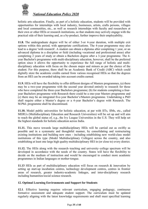

holistic arts education. Finally, as part of a holistic education, students will be provided with opportunities for internships with local industry, businesses, artists, crafts persons, villages and local communities, etc., as well as research internships with faculty and researchers at their own or other HEIs or research institutions, so that students may actively engage with the practical side of their learning and, as a by-product, further improve their employability.

**11.8.** The undergraduate degree will be of either 3-or 4-year duration, with multiple exit options within this period, with appropriate certifications. The 4-year programme may also lead to a degree 'with research'. A student can obtain a diploma after completing 1 year, or an advanced diploma in a discipline or field (including vocational and professional areas) after completing 2 years of study or obtain a Bachelors degree after a 3-year programme. The 4 year Bachelor's programme with multi-disciplinary education, however, shall be the preferred option since it allows the opportunity to experience the full range of holistic and multidisciplinary education with focus on the chosen major and minors as per the choice of the student. For this purpose, there shall be an Academic Bank of Credit (ABC) which could digitally store the academic credits earned from various recognised HEIs so that the degrees from an HEI can be awarded taking into account credits earned.

**11.9.** HEIs will have the flexibility to offer different designs of Masters programmes, (a) there may be a two-year programme with the second year devoted entirely to research for those who have completed the three-year Bachelors programme; (b) for students completing a fouryear Bachelors programme with Research there could be a one-year Masters programme and (c) there may be an integrated five-year Bachelor's/Masters programme. Undertaking a PhD shall require either a Master's degree or a 4-year Bachelor's degree with Research. The M.Phil. programme shall be discontinued.

**11.10.** Model public universities for holistic education, at par with IITs, IIMs, etc., called MERUs (Multidisciplinary Education and Research Universities) will be set up and will aim to reach the global status of, e.g., the Ivy League Universities in the U.S. They will help set the highest standards for holistic education across India.

**11.11.** This move towards large multidisciplinary HEIs will be carried out as swiftly as possible and in a systematic and thoughtful manner, by consolidating and restructuring existing institutions and building new ones - including establishing new world-class model institutions of this type (Model Multidisciplinary Colleges) across the country, and also establishing at least one large high quality multidisciplinary HEI in (or close to) every district.

**11.12.** The HEIs along with the research–teaching and university–college spectrum will be developed in accordance with the needs of the country*.* States will have the flexibility to decide on the medium of instruction and would be encouraged to conduct more academic programmes in Indian languages or mother-tongue.

**11.13** HEIs as part of multidisciplinary education will focus on research & innovation by setting up start-up incubation centres, technology development centres, centres in frontier areas of research, greater industry-academic linkages, and inter-disciplinary research including humanities/social science research.

## **12. Optimal Learning Environments and Support for Students**

**12.1**. Effective learning requires relevant curriculum, engaging pedagogy, continuous formative assessment and adequate student support. The curriculum must be updated regularly aligning with the latest knowledge requirements and shall meet specified learning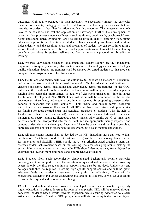

outcomes. High-quality pedagogy is then necessary to successfully impart the curricular material to students; pedagogical practices determine the learning experiences that are provided to students - thus directly influencing learning outcomes. The assessment methods have to be scientific and test the application of knowledge. Further, the development of capacities that promotes student wellness, - such as fitness, good health, psycho-social well being, and sound ethical grounding - are also critical for high-quality learning. Often, higher education represents the first time in students' lives when they are living and working independently, and the resulting stress and pressures of student life can sometimes form a serious threat to their wellness. Robust care and support systems are thus vital for maintaining beneficial conditions for student wellness and form an important precondition for effective learning.

**12.2.** Whereas curriculum, pedagogy, assessment and student support are the fundamental requirements for quality learning, infrastructure, resources, technology are necessary for highquality education. Special programmes shall be devised for gifted students so that they can complete their programme on a fast-track mode.

**12.3.** Institutions and faculty will have the autonomy to innovate on matters of curriculum, pedagogy, and assessment within a broad framework of higher education qualifications that ensures consistency across institutions and equivalence across programmes, in the ODL, online and the traditional 'in-class' modes. Each institution will integrate its academic plans ranging from curricular improvement to quality of classroom transaction - into its larger Institutional Development Plan (IDP). Each institution will be committed to the holistic development of students, and create strong internal systems for supporting diverse student cohorts in academic and social domains - both inside and outside formal academic interactions in the classroom. For example, all HEIs will have mechanisms and opportunities for funding for topic-centred clubs and activities organised by students (with the help of faculty and other experts as needed), such as clubs and events dedicated to science, mathematics, poetry, language, literature, debate, music, table tennis, etc. Over time, such activities could be incorporated into the curriculum once appropriate faculty expertise and campus student demand is developed. Faculty will have the capacity and training to be able to approach students not just as teachers in the classroom, but also as mentors and guides.

**12.4.** All assessment systems shall be decided by the HEI, including those that lead to final certification. The Choice Based Credit System (CBCS) will be revised leaving plenty of room for innovation and flexibility. HEIs should move to a criterion-based grading system that assesses student achievement based on the learning goals for each programme, making the system fairer and outcomes more comparable. HEIs should also move away from high-stakes examinations towards more continuous and comprehensive evaluation.

**12.5**. Students from socio-economically disadvantaged backgrounds require particular encouragement and support to make the transition to higher education successfully. Providing access is only the first step; continuous support must also be provided. Universities and colleges will thus be required to set up high-quality support centres and will be given adequate funds and academic resources to carry this out effectively. There will be professional academic and career counselling available to all students, as well as counsellors to ensure the physical and emotional well being.

**12.6.** ODL and online education provide a natural path to increase access to high-quality higher education. In order to leverage its potential completely, ODL will be renewed through concerted, evidence-based efforts towards expansion while ensuring adherence to clearly articulated standards of quality. ODL programmes will aim to be equivalent to the highest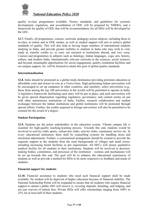

quality in-class programmes available. Norms, standards, and guidelines for systemic development, regulation, and accreditation of ODL will be prepared by NHERA, and a framework for quality of ODL that will be recommendatory for all HEIs will be developed by the GEC.

**12.7.** Finally, all programmes, courses, curricula, pedagogy across subjects, including those in in-class, in online and in ODL modes, as well as student support will aim to achieve global standards of quality. This will also help in having larger numbers of international students studying in India, and provide greater mobility to students in India who may wish to visit, study at, transfer credits to, or carry out research at institutions abroad, and vice versa. Courses and programmes in subjects such as Indology, Indian languages, yoga, arts, history, culture, and modern India, internationally relevant curricula in the sciences, social sciences, and beyond, meaningful opportunities for social engagement, quality residential facilities and on-campus support, etc. will be fostered to attain this goal of global quality standards.

#### **Internationalisation**

**12.8.** India should be promoted as a global study destination providing premium education at affordable costs and restore its role as a Viswa Guru. High performing Indian universities will be encouraged to set up campuses in other countries, and similarly, select universities (e.g., those from among the top 100 universities in the world) will be permitted to operate in India. A legislative framework facilitating such entry will be put in place, and such universities will be given special dispensation regarding regulatory, governance, and content norms on par with other autonomous institutions of India. Further, research collaboration and student exchanges between the Indian institutions and global institutions will be promoted through special efforts. Further, the credits acquired in foreign universities will also be permitted to be counted for the award of a degree.

## **Student Participation**

**12.9.** Students are the prime stakeholders in the education system. Vibrant campus life is essential for high-quality teaching-learning process. Towards this end, students would be involved in activity clubs sports, culture/arts clubs, activity clubs, community service etc. In every educational institution, there shall be counselling systems for handling stress and emotional adjustments. Further, a systematised arrangement should be created to provide the requisite support to the students from the rural backgrounds of villages and small towns, including increasing hostel facilities as per requirement. All HEI's will ensure qualitative medical facility for all students in their institutions. Students will be involved in decisionmaking bodies, committees, and processes of the institution – systems and mechanisms will be set up towards this end. The goal will be to enhance the educational experiences of students as well as provide a method for HEIs to be more responsive to feedback and needs of students.

## **Financial support for students**

**12.10.** Financial assistance to students who need such financial support shall be made available. No student will be deprived of higher education because of financial inability. The National Scholarship Portal will be expanded to ensure that all students who require financial support to attend a public HEI will receive it, covering stipends, boarding, and lodging, and not just waivers of tuition fees. Private HEIs will offer scholarships ranging from 100% to 25% for at least half of their students.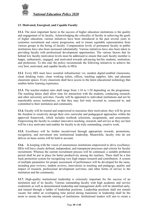

# **13. Motivated, Energised, and Capable Faculty**

**13.1.** The most important factor in the success of higher education institutions is the quality and engagement of its faculty. Acknowledging the criticality of faculty in achieving the goals of higher education, various initiatives have been introduced in the past several years to systemise recruitment and career progression, and to ensure equitable representation from various groups in the hiring of faculty. Compensation levels of permanent faculty in public institutions have also been increased substantially. Various initiatives have also been taken to providing faculty with professional development opportunities. The various factors that lie behind low faculty motivation levels must be addressed to ensure that each faculty member is happy, enthusiastic, engaged, and motivated towards advancing her/his students, institution, and profession. To this end, the policy recommends the following initiatives to achieve the very best, motivated, and capable faculty in HEIs.

**13.2**. Every HEI must have essential infrastructure viz, modern digital-enabled classrooms, clean drinking water, clean working toilets, offices, teaching supplies, labs, and pleasant classroom spaces. Every classroom shall have access to the latest educational technology that enables better learning experience.

**13.3.** The teacher-student ratio shall range from 1:10 to 1:20 depending on the programme. The teaching duties shall allow time for interaction with the students, conducting research, and other university activities. Faculty will be appointed to individual institutions and not be transferable across institutions, so that they may feel truly invested in, connected to, and committed to their institution and community.

**13.4.** Faculty will be trusted and empowered to maximise their motivation; they will be given the freedom to creatively design their own curricular and pedagogical approaches within the approved framework, which includes textbook selections, assignments, and assessments. Empowering the faculty to conduct innovative teaching, research, and service as they see best will be a key motivator and enabler for faculty to do truly outstanding, creative work.

**13.5.** Excellence will be further incentivised through appropriate rewards, promotions, recognition, and movement into institutional leadership. Meanwhile, faculty who do not deliver on basic norms will be held to account.

**13.6.** In keeping with the vision of autonomous institutions empowered to drive excellence, HEIs will have clearly defined, independent, and transparent processes and criteria for faculty recruitment. Whereas the current recruitment process will be continued, a suitable probation period shall be put in place for better productivity among the teachers. There shall be a fast track promotion system for recognising very high impact research and contribution. A system of multiple parameters for proper assessment of performance will be developed for the same, including peer reviews, student reviews, innovations in teaching and pedagogy, quality and impact of research, professional development activities, and other forms of service to the institution and the community.

**13.7.** High-quality institutional leadership is extremely important for the success of an institution and of its faculty. Various outstanding faculty with high academic and service credentials as well as demonstrated leadership and management skills will be identified early, and trained through a ladder of leadership positions. Leadership positions shall not remain vacant, but rather an overlapping time period during transitions in leadership shall be the norm to ensure the smooth running of institutions. Institutional leaders will aim to create a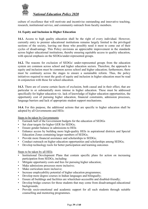

culture of excellence that will motivate and incentivise outstanding and innovative teaching, research, institutional service, and community outreach from faculty members.

## **14. Equity and Inclusion in Higher Education**

**14.1.** Access to high quality education shall be the right of every individual. However, currently entry to premier educational institutions remains largely limited to the privileged sections of the society, leaving out those who possibly need it most to come out of their cycles of disadvantage. This Policy envisions an appreciable improvement in the standards across higher educational institutions, thereby ensuring equitable access to quality education, with special emphasis on the SEDGs/under-represented groups.

**14.2.** The reasons for exclusion of SEDGs/ under-represented groups from the education system are common across school and higher education sectors. Therefore, the approach to equity and inclusion must be common across school and higher education; furthermore, there must be continuity across the stages to ensure a sustainable reform. Thus, the policy initiatives required to meet the goals of equity and inclusion in higher education must be read in conjunction with those for school education.

**14.3.** There are of course certain facets of exclusion, both causal and in their effect, that are particular to or substantially more intense in higher education. These must be addressed specifically for higher education viz. lack of knowledge of higher education opportunities, the opportunity cost of pursuing higher education, financial constraints, admission processes, language barriers and lack of appropriate student support mechanisms.

**14.4.** For this purpose, the additional actions that are specific to higher education shall be adopted by all Governments and HEIs:

Steps to be taken by Governments

- Earmark half of the Government budgets for the education of SEDGs
- Set clear targets for higher GER for SEDGs;
- Ensure gender balance in admissions to HEIs
- Enhance access by building more high-quality HEIs in aspirational districts and Special Education Zones containing larger numbers of SEDGs;
- Provide more financial assistance and scholarships to SEDGs;
- Conduct outreach on higher education opportunities and scholarships among SEDGs;
- Develop technology tools for better participation and learning outcomes

Steps to be taken by all HEIs

- Institutional Development Plans that contain specific plans for action on increasing participation from SEDGs, including:
- Mitigate opportunity costs and fees for pursuing higher education;
- Make admissions processes more inclusive;
- Make curriculum more inclusive;
- Increase employability potential of higher education programmes;
- Develop more degree courses in Indian languages and bilingually;
- Ensure all buildings and facilities are wheelchair-accessible and disabled-friendly;
- Develop bridge courses for those students that may come from disadvantaged educational backgrounds;
- Provide socio-emotional and academic support for all such students through suitable counselling and mentoring programmes.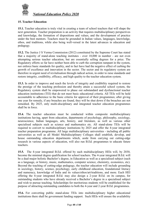

# **15. Teacher Education**

**15.1.** Teacher education is truly vital in creating a team of school teachers that will shape the next generation. Teacher preparation is an activity that requires multidisciplinary perspectives and knowledge, the formation of dispositions and values, and the development of practice under the best mentors. Teachers must be grounded in Indian values, languages, knowledge, ethos, and traditions, while also being well-versed in the latest advances in education and pedagogy.

**15.2.** The Justice J S Verma Commission (2012) constituted by the Supreme Court has stated that a majority of stand-alone teaching institutes - over 10,000 in number - are not even attempting serious teacher education, but are essentially selling degrees for a price. The Regulatory efforts so far have neither been able to curb the corruption rampant in the system, nor enforce basic standards for quality, and in fact have had the negative effect of curbing the growth of excellence and innovation in the sector. The sector and its regulatory system are therefore in urgent need of revitalisation through radical action, in order to raise standards and restore integrity, credibility, efficacy, and high quality to the teacher education system.

**15.3.** In order to improve and reach the levels of integrity and credibility required to restore the prestige of the teaching profession and thereby attain a successful school system, the Regulatory system shall be empowered to phase out substandard and dysfunctional teacher education institutions (TEI) that do not meet basic educational criteria. All TEIs will be held accountable to adherence to the basic criteria for approval of their programmes; after giving one year for remedy, if any breaches are found, they will be shut down if the breaches are not remedied. By 2025, only multi-disciplinary and integrated teacher education programmes shall be in force.

**15.4.** The teacher education must be conducted within composite multidisciplinary institutions having, apart from education, departments of psychology, philosophy, sociology, neuroscience, Indian languages, arts, history, and literature, as well as various other specialised subjects such as science and mathematics etc. All stand-alone TEIs will be required to convert to multidisciplinary institutions by 2025 and offer the 4-year integrated teacher preparation programme. All large multidisciplinary universities - including all public universities as well as all Model Multidisciplinary Colleges shall establish, develop, and house outstanding education departments which, aside from carrying out cutting-edge research in various aspects of education, will also run B.Ed. programmes to educate future teachers.

**15.5.** The 4-year integrated B.Ed. offered by such multidisciplinary HEIs will, by 2030, become the minimal degree qualification for school teachers. The 4-year integrated B.Ed. will be a dual-major holistic Bachelor's degree, in Education as well as a specialised subject (such as a language, or history, music, mathematics, computer science, chemistry, economics, etc). Beyond the teaching of cutting-edge pedagogy, the teacher education will include grounding in sociology, history, science, psychology, early childhood education, foundational literacy and numeracy, knowledge of India and its values/ethos/art/traditions, and more. Each HEI offering the 4-year integrated B.Ed. may also design a 2-year B.Ed. on its campus, for outstanding students who have already received a Bachelor's degree in a specialised subject and wish to pursue teaching. Scholarships for meritorious students will be established for the purpose of attracting outstanding candidates to both the 4-year and 2-year B.Ed. programmes.

**15.6.** For converting public stand-alone TEIs into multidisciplinary higher educational institutions there shall be government funding support. Such HEIs will ensure the availability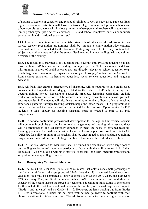

of a range of experts in education and related disciplines as well as specialised subjects. Each higher educational institution will have a network of government and private schools and school complexes to work with in close proximity, where potential teachers will student-teach (among other synergistic activities between HEIs and school complexes, such as community service, adult and vocational education, etc).

**15.7.** In order to maintain uniform acceptable standards of education, the admission to preservice teacher preparation programmes shall be through a single nation-wide entrance examination to be conducted by the National Testing Agency. The test may contain both subject and aptitude tests and shall be standardised keeping in view the linguistic and cultural diversity of the country.

**15.8.** The faculty in Departments of Education shall have not only PhDs in education but also those without PhD but having outstanding teaching experience/field experience; and those with training in areas of social sciences that are directly relevant to school education (e.g., psychology, child development, linguistics, sociology, philosophy/political science) as well as from science education, mathematics education, social science education, and language education.

**15.9.** All fresh PhD entrants, irrespective of discipline, will be required to take credit-based courses in teaching/education/pedagogy related to their chosen PhD subject during their doctoral training period. Exposure to pedagogic practices, designing curriculum, credible evaluation systems, and so on will be ensured since many research scholars will go on to become faculty. PhD students will also have a minimum number of hours of actual teaching experience gathered through teaching assistantships and other means. PhD programmes at universities around the country must be re-oriented for this purpose. Opportunities for PhD students to assist faculty as teaching assistants must be created as part of all PhD programmes.

**15.10.** In-service continuous professional development for college and university teachers will continue through the existing institutional arrangements and ongoing initiatives and these will be strengthened and substantially expanded to meet the needs to enriched teachinglearning processes for quality education. Using technology platforms such as SWAYAM /DIKSHA for online training of the teachers shall be encouraged so that standardised training programmes can be administered to large number of teachers within a short span of time.

**15.11** A National Mission for Mentoring shall be funded and established, with a large pool of outstanding senior/retired faculty – particularly those with the ability to teach in Indian languages – who would be willing to provide short and long-term mentoring/professional support to university/college teachers.

## **16. Reimagining Vocational Education**

**16.1.** The 12th Five-Year Plan (2012–2017) estimated that only a very small percentage of the Indian workforce in the age group of 19–24 (less than 5%) received formal vocational education; this may be compared to other countries such as the USA where the number is 52%, Germany 75%, and South Korea as high as 96%. These numbers only underline the urgency of the need to hasten the spread of vocational education in India. Some of the reasons for this include the fact that vocational education has in the past focused largely on dropouts (Grade 8 and upwards) and on Grades 11–12. However, students passing out from Grades 11–12 with vocational subjects did not have well-defined pathways to continue with their chosen vocations in higher education. The admission criteria for general higher education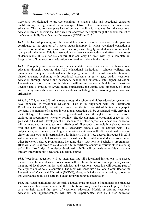

were also not designed to provide openings to students who had vocational education qualifications, leaving them at a disadvantage relative to their compatriots from mainstream education. This led to a complete lack of vertical mobility for students from the vocational education stream, an issue that has only been addressed recently through the announcement of the National Skills Qualifications Framework (NSQF) in 2013.

**16.2.** The lack of planning and the poor delivery of vocational education in the past has contributed to the creation of a social status hierarchy in which vocational education is perceived to be inferior to mainstream education, meant largely for students who are unable to cope with the latter. This is a perception that persists even today, and affects the choices students make. It is a serious concern that can only be dealt with by a complete reimagination of how vocational education is offered to students in the future.

**16.3.** This policy aims to overcome the social status hierarchy associated with vocational education through requiring that ALL educational institutions - schools, colleges and universities - integrate vocational education programmes into mainstream education in a phased manner, beginning with vocational exposure at early ages, quality vocational education through middle and secondary school and smoothly into higher education. Integrating vocational education in this way will ensure that every child learns at least one vocation and is exposed to several more, emphasising the dignity and importance of labour and exciting students about various vocations including those involving local arts and artisanship.

**16.4.** By 2025, at least 50% of learners through the school and higher education system shall have exposure to vocational education. This is in alignment with the Sustainable Development Goal 4.4, and will help to realise the full potential of India's demographic dividend. The number of students in vocational education will be considered while arriving at the GER target. The possibility of offering vocational courses through ODL mode will also be explored in programmes, wherever possible. The development of vocational capacities will go hand-in-hand with development of 'academic' or other capacities. Vocational education will be integrated in the educational offerings of all secondary schools in a phased manner over the next decade. Towards this, secondary schools will collaborate with ITIs, polytechnics, local industry etc. Higher education institutions will offer vocational education either on their own or in partnership with industry. The B.Voc. degrees introduced in 2013 will continue to exist, but vocational courses will also be available to students enrolled in all other Bachelor's degree programmes, including the 4-year holistic Bachelor's programmes. HEIs will also be allowed to conduct short-term certificate courses in various skills including soft skills. 'Lok Vidya,' knowledge developed in India, will be made accessible to students through integration into vocational education courses.

**16.5.** Vocational education will be integrated into all educational institutions in a phased manner over the next decade. Focus areas will be chosen based on skills gap analysis and mapping of local opportunities, and technical and vocational education will become part of the larger vision of holistic education. The MoE will constitute a National Committee for the Integration of Vocational Education (NCIVE), along with industry participation, to oversee this effort and should also earmark budget for promoting this integration.

**16.6.** Individual institutions that are early adopters must innovate to find models and practices that work and then share these with other institutions through mechanisms set up by NCIVE, so as to help extend the reach of vocational education. Models of offering vocational education, and apprenticeships, will also be experimented with by higher education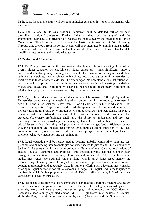

institutions. Incubation centres will be set up in higher education institutes in partnership with industries.

**16.7.** The National Skills Qualifications Framework will be detailed further for each discipline vocation / profession. Further, Indian standards will be aligned with the International Standard Classification of Occupations maintained by the International Labour Organisation. This Framework will provide the basis for Recognition of Prior Learning. Through this, dropouts from the formal system will be reintegrated by aligning their practical experience with the relevant level on the Framework. The Framework will also facilitate mobility across general and vocational education.

#### **17. Professional Education**

**17.1.** The Policy envisions that the professional education will become an integral part of the overall higher education system. Like all higher education, it must significantly involve critical and interdisciplinary thinking and research. The practice of setting up stand-alone technical universities, health science universities, legal and agricultural universities, or institutions in these or other fields, shall be discouraged. No new stand-alone institutions will be permitted except in specific fields as per national needs. All existing stand-alone professional educational institutions will have to become multi-disciplinary institutions by 2030, either by opening new departments or by operating in clusters.

**17.2.** Agricultural education with allied disciplines will be revived. Although Agricultural Universities comprise approximately 9% of all universities in the country, enrolment in agriculture and allied sciences is less than 1% of all enrolment in higher education. Both capacity and quality of agriculture and allied disciplines must be improved in order to increase agricultural productivity through better skilled graduates and technicians, innovative research and market-based extension linked to technologies and practices. The agriculture/veterinary professionals shall have the ability to understand and use local knowledge, traditional knowledge and emerging technologies while being cognizant of critical issues such as declining land productivity, climate change, food sufficiency for our growing population, etc. Institutions offering agricultural education must benefit the local community directly; one approach could be to set up Agricultural Technology Parks to promote technology incubation and dissemination.

**17.3.** Legal education will be restructured to become globally competitive, adopting best practices and embracing new technologies for wider access to justice and timely delivery of justice. At the same time, it must be informed and illuminated with Constitutional values of Justice - Social, Economic, and Political - and directed towards national reconstruction through instrumentation of democracy, rule of law, and human rights. The curricula for legal studies must reflect socio-cultural contexts along with, in an evidence-based manner, the history of legal thinking, principles of justice, the practice of jurisprudence, and other related content appropriately and adequately. State institutions offering law education must consider offering bilingual education for future lawyers and judges - in English and in the language of the State in which the law programme is situated. This is to alleviate delay in legal outcomes consequent to need for translation.

**17.4.** Healthcare education shall be re-envisioned such that the duration, structure, and design of the educational programmes are as required for the roles that graduates will play. For example, every healthcare process/intervention (e.g., taking/reading an ECG) does not necessarily need a fully qualified doctor. All MBBS graduates must possess (a) Medical skills, (b) Diagnostic skills, (c) Surgical skills, and (d) Emergency skills. Students will be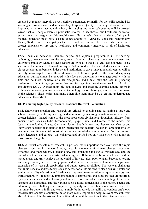

assessed at regular intervals on well-defined parameters primarily for the skills required for working in primary care and in secondary hospitals. Quality of nursing education will be improved; a national accreditation body for nursing and other sub-streams will be created. Given that our people exercise pluralistic choices in healthcare, our healthcare education system must be integrative: this would mean, illustratively, that all students of allopathic medical education must have a basic understanding of Ayurveda, Yoga and Naturopathy, Unani, Siddha, and Homeopathy (AYUSH), and vice versa. There shall also be a much greater emphasis on preventive healthcare and community medicine in all of healthcare education.

**17.5.** Technical education includes degree and diploma programmes in engineering, technology, management, architecture, town planning, pharmacy, hotel management and catering technology. Many of these sectors are critical to India's overall development. These sectors will continue to demand well-qualified individuals for several decades, and hence closer collaboration between industry and institutions to drive innovation and research will be actively encouraged. Since these domains will become part of the multi-disciplinary education, curricula must be renewed with a focus on opportunities to engage deeply with the field and be more inclusive of other disciplines. India must take the lead in preparing professionals in cutting-edge areas that are fast gaining prominence, such as Artificial Intelligence (AI), 3-D machining, big data analysis and machine learning among others in technical education, genomic studies, biotechnology, nanotechnology, neuroscience and so on in the sciences. These topics, and many others like them, must be woven into undergraduate education at the earliest.

## **18. Promoting high-quality research: National Research Foundation**

**18.1.** Knowledge creation and research are critical to growing and sustaining a large and vibrant economy, uplifting society, and continuously inspiring a nation to achieve even greater heights. Indeed, some of the most prosperous civilisations throughout history, from ancient times (such as India, Mesopotamia, Egypt, China, and Greece) to the modern era (such as the United States, Germany, Israel, South Korea, and Japan), were/are strong knowledge societies that attained their intellectual and material wealth in large part through celebrated and fundamental contributions to new knowledge - in the realm of science as well as art, language, and culture - that enhanced and uplifted not only their own civilisations but those around the globe.

**18.2.** A robust ecosystem of research is perhaps more important than ever with the rapid changes occurring in the world today, e.g., in the realm of climate change, population dynamics and management, biotechnology, and expanding the digital marketplace, and the rise of machine learning and artificial intelligence. If India is to become a leader in these varied areas, and truly achieve the potential of its vast talent pool to again become a leading knowledge society in the coming years and decades, the nation will require a significant expansion of its research capabilities and output across disciplines. The societal challenges that India needs to address today, such as access for all its citizens to clean drinking water and sanitation, quality education and healthcare, improved transportation, air quality, energy, and infrastructure, will require the implementation of approaches and solutions that are informed by top-notch science and technology and are also rooted in a deep understanding of the social sciences and humanities and the various socio-cultural dimensions of the nation. Facing and addressing these challenges will require high-quality interdisciplinary research across fields that must be done in India and cannot simply be imported; the ability to conduct one's own research also enables a country to much more easily import and adapt relevant research from abroad. Research in the arts and humanities, along with innovations in the sciences and social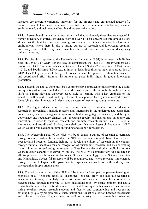

sciences, are therefore extremely important for the progress and enlightened nature of a nation. Research has never been more essential for the economic, intellectual, societal, environmental, and technological health and progress of a nation.

**18.3.** Research and innovation at institutions in India, particularly those that are engaged in higher education, is critical. Evidence from the world's best universities throughout history shows that the best teaching and learning processes at the higher education level occur in environments where there is also a strong culture of research and knowledge creation; conversely, much of the very best research in the world has occurred in multidisciplinary university settings.

**18.4.** Despite this importance, the Research and Innovation (R&I) investment in India has been only 0.69% of GDP. For the sake of comparison, the levels of R&I investment as a proportion of GDP in some other countries are: United States (2.8%), China (2.1%), Israel (4.3%), and South Korea (4.2%); i.e., all invest at least three times as much as a proportion of GDP. This Policy proposes to bring in to focus the need for greater investments in research and coordinated effort from all institutions to place India higher in global knowledge production.

**18.5.** Towards the above, there must be a comprehensive approach to transforming the quality and quantity of research in India. This work must begin in the schools through definitive shifts to a more play and discovery-based style of learning with a key emphasis on the scientific method and critical thinking. This must be supported by a systematic effort towards identifying student interests and talents, and a system of mentoring young innovators.

**18.6.** The higher education system must be restructured to promote: holistic education, research in universities , include research and internships in the undergraduate curriculum, create faculty career management systems with due weightage to research, and bring in governance and regulatory changes that encourage faculty and institutional autonomy and innovation. In order to focus on research and promote research culture in all HEIs in an interrelated and coordinated fashion, there shall be a National Research Foundation (NRF) which would bring a quantum jump in funding and support for research.

**18.7.** The overarching goal of the NRF will be to enable a culture of research to permeate through our universities. In particular, the NRF will provide a reliable base of merit-based peer-reviewed research funding, helping to develop a culture of research in the country through suitable incentives for and recognition of outstanding research, and by undertaking major initiatives to seed and grow research at State Universities and other public institutions where research capability is currently limited. The NRF will competitively fund research in all disciplines across the academic landscape: Science, Technology, Social Sciences, and Arts and Humanities. Successful research will be recognised, and where relevant, implemented through close linkages with governmental agencies as well as with industry and private/philanthropic organisations.

**18.8.** The primary activities of the NRF will be to (a) fund competitive peer-reviewed grant proposals of all types and across all disciplines; (b) seed, grow, and facilitate research at academic institutions, particularly at universities and colleges where research is currently in a nascent stage, through mentoring of such institutions (e.g., by hiring eminent and active research scholars that are retired or near retirement from high-quality research institutions), hiring excellent young research students and faculty, and strengthening and recognising existing high-quality programmes at such institutions; (c) act as a liaison between researchers and relevant branches of government as well as industry, so that research scholars are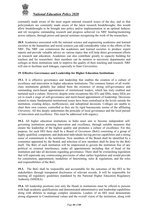

constantly made aware of the most urgent national research issues of the day, and so that policymakers are constantly made aware of the latest research breakthroughs; this would allow breakthroughs to be brought into policy and/or implementation in an optimal fashion; and (d) recognise outstanding research and progress achieved via NRF funding/mentoring across subjects, through prizes and special seminars recognising the work of the researchers.

**18.9.** Academics associated with the national science and engineering academies and learned societies in the humanities and social sciences can add considerable value to the efforts of the NRF. The NRF can commission the academies and learned societies to produce expert reports and provide valuable advice on various topics that will help direct government efforts on research and education. Academies can also contribute greatly to capacity building for teachers and for researchers: their members can be mentors to university departments and colleges as these institutions seek to improve the quality of their teaching and research. NRF will aim to facilitate such linkages, especially to State Universities.

# **19. Effective Governance and Leadership for Higher Education Institutions**

**19.1.** It is effective governance and leadership that enables the creation of a culture of excellence and innovation in higher education institutions. The common feature of all worldclass institutions globally has indeed been the existence of strong self-governance and outstanding merit-based appointments of institutional leaders, which has truly enabled and nurtured such a culture. However, despite some exceptions like IITs and IIMs, many HEIs are yet to reach a stage of self-governance and merit-based appointment of leadership. Decisions related to many fundamental institutional issues have been centralised at the levels outside the institution, creating delays, inefficiencies, and suboptimal decisions. Colleges are unable to chart their own courses, controlled as they are by rigid bureaucratic norms of the affiliating University. All this deeply undermines the principle of local governance and the local pursuit of innovation and excellence. This must be addressed with urgency.

**19.2.** All higher education institutions in India must aim to become independent selfgoverning institutions pursuing innovation and excellence, through suitable measures that ensure the leadership of the highest quality and promotes a culture of excellence. For this purpose, for each HEI there shall be a Board of Governors (BoG) consisting of a group of highly qualified, competent, and dedicated individuals having proven capabilities and a strong sense of commitment to the institution. New members of the Board shall be identified by a committee appointed by the Board; and selection of new members shall be done by the BoG itself. The BoG of each institution will be empowered to govern the institution free of any political or external interference, make all appointments including that of head of the institution and take all decisions regarding governance. There shall be overarching legislation that will supersede any contravening provisions of other earlier legislation and would provide for constitution, appointment, modalities of functioning, rules & regulations, and the roles and responsibilities of the BoG.

**19.3.** The BoG shall be responsible and accountable for the outcomes of the HEI to the stakeholders through transparent disclosures of relevant records. It will be responsible for meeting all regulatory guidelines mandated by the National Higher Education Regulatory Authority (NHERA).

**19.4.** All leadership positions (not only the Head) in institutions must be offered to persons with high academic qualifications and demonstrated administrative and leadership capabilities along with abilities to manage complex situations. Leaders of an HEI must demonstrate strong alignment to Constitutional values and the overall vision of the institution, along with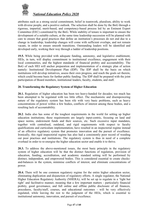

attributes such as a strong social commitment, belief in teamwork, pluralism, ability to work with diverse people, and a positive outlook. The selection shall be done by the BoG through a rigorous, impartial, merit-based, and competency-based process led by an Eminent Expert Committee (EEC) constituted by the BoG. While stability of tenure is important to ensure the development of a suitable culture, at the same time leadership succession will be planned with care to ensure that good practices that define an institution's processes do not end due to a change in leadership; leadership changes will come with sufficient overlaps, and not remain vacant, in order to ensure smooth transitions. Outstanding leaders will be identified and developed early, working their way through a ladder of leadership positions.

**19.5.** While being provided with adequate funding, autonomy, and legislative enablement, HEIs, in turn, will display commitment to institutional excellence, engagement with their local communities, and the highest standards of financial probity and accountability. The BoG of each HEI will anchor preparation and implementation of a strategic plan of action namely: Institutional Development Plan (IDP). The IDP shall be the basis on which institutions will develop initiatives, assess their own progress, and reach the goals set therein, which could become basis for further public funding. The IDP shall be prepared with the joint participation of Board members, institutional leaders, faculty, students, and staff.

# **20. Transforming the Regulatory System of Higher Education**

**20.1.** Regulation of higher education has been too heavy-handed for decades; too much has been attempted to be regulated with too little effect. The mechanistic and disempowering nature of the regulatory system has been rife with very basic problems, such as heavy concentrations of power within a few bodies, conflicts of interest among these bodies, and a resulting lack of accountability.

**20.2**. India also has some of the toughest requirements in the world for setting up higher education institutions; these requirements are largely input-centric, focusing on land and space norms, endowment funds and their sources, etc. Such excessive input mandates, together with centralised, outdated, and rigid requirements with respect to faculty qualifications and curriculum implementation, have resulted in an inspectorial regime instead of an effective regulatory system that promotes innovation and the pursuit of excellence. Ironically, this rigid inspectorial regime has also had a consistently poor record of weeding out poor practises and institutions. The regulatory system is thus in need of a complete overhaul in order to re-energise the higher education sector and enable it to thrive.

**20.3.** To address the above-mentioned issues, the most basic principle in the regulatory system of higher education will be that the distinct functions of regulation, provision of education, funding, accreditation, and academic standard setting will be performed by distinct, independent, and empowered bodies. This is considered essential to create checksand-balances in the system, minimise conflicts of interest, and eliminate concentrations of power.

**20.4.** There will be one common regulatory regime for the entire higher education sector, eliminating duplication and disjunction of regulatory efforts. A single regulator, the National Higher Education Regulatory Authority (NHERA), will be set up to regulate in a 'light but tight' and facilitative manner, meaning that a few important matters - particularly financial probity, good governance, and full online and offline public disclosure of all finances, procedures, faculty/staff, courses, and educational outcomes - will be very effectively regulated, while leaving the rest to the judgment of the HEIs, which is essential to institutional autonomy, innovation, and pursuit of excellence.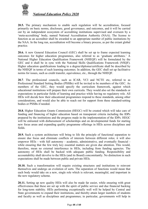

**20.5.** The primary mechanism to enable such regulation will be accreditation, focused primarily on basic norms, disclosure, good governance, and outcomes, and it will be carried out by an independent ecosystem of accrediting institutions supervised and overseen by a 'meta-accrediting' body, named National Accreditation Authority (NAA). The license to function as an accreditor shall be awarded to an appropriate number of public institutions by the NAA. In the long run, accreditation will become a binary process, as per the extant global practice.

**20.6.** A new General Education Council (GEC) shall be set up to frame expected learning outcomes for higher education programmes, also referred to as 'graduate attributes.' A National Higher Education Qualification Framework (NHEQF) will be formulated by the GEC and it shall be in sync with the National Skills Qualifications Framework (NSQF). Higher education qualifications leading to a degree/diploma/certificate shall be described by the NHEQF in terms of such learning outcomes. In addition, the GEC shall set up facilitative norms for issues, such as credit transfer, equivalence, etc., through the NHEQF.

20.7. The professional councils, such as ICAR, VCI and NCTE etc, referred to as Professional Standard Setting Bodies (PSSBs) will be invited to be members of the GEC. As members of the GEC, they would specify the curriculum framework, against which educational institutions will prepare their own curricula. They would also set the standards or expectations in particular fields of learning and practice while having no regulatory role. All HEIs will decide how their educational programmes respond to these standards, among other considerations, and would also be able to reach out for support from these standard-setting bodies or PSSBs if needed.

**20.8.** Higher Education Grants Commission (HEGC) will be created which will take care of funding and financing of higher education based on transparent criteria including the IDPs prepared by the institutions and the progress made in the implementation of the IDPs. HEGC will be entrusted with disbursement of scholarships and on developmental funds for starting new focus areas and expanding quality programme offerings in HEIs across disciplines and fields.

**20.9.** Such a system architecture will bring to life the principle of functional separation to ensure due focus and eliminate conflicts of interests between different roles; it will also empower HEIs - with full autonomy - academic, administrative, and eventually financial while ensuring that the few truly key essential matters are given due attention. This would, therefore, mean no external interference in HEIs, including from funding agencies. The autonomy of HEIs shall be backed with adequate public funding. Responsibility and accountability shall devolve to the HEIs (and its Board) concomitantly. No distinction in such expectations shall be made between public and private HEIs.

**20.10.** Such a transformation will require existing structures and institutions to reinvent themselves and undergo an evolution of sorts. The separation of functions would mean that each body would take on a new, single role which is relevant, meaningful, and important in the new regulatory scheme.

**20.11.** Setting up new quality HEIs will also be made far easier, while ensuring with great effectiveness that these are set up with the spirit of public service and due financial backing for long-term stability. HEIs performing exceptionally well will be helped by Central and State governments to expand their institutions, and thereby attain larger numbers of students and faculty as well as disciplines and programmes; in particular, governments will help in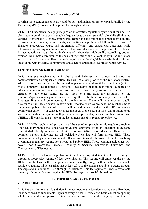

securing more contiguous or nearby land for outstanding institutions to expand. Public Private Partnership (PPP) models will be promoted in higher education.

**20.12.** The fundamental design principles of an effective regulatory system will thus be: i) a clear separation of functions to enable adequate focus on each essential role while eliminating conflicts of interest; ii) a single, empowered, responsive, but minimalistic regulatory authority to ensure basic regulatory requirements, such as financial probity and full public disclosure of finances, procedures, course and programme offerings, and educational outcomes, while otherwise empowering institutions to make their own decisions for the pursuit of excellence; iii) accreditation through the establishment of independent high-quality accrediting bodies, overseen by a meta-accreditor, as the basis of regulation; and iv) each body in the regulatory system run by Independent Boards consisting of persons having high expertise in the relevant areas along with integrity, commitment, and a demonstrated track record of public service.

## **Curbing commercialization of education**

**20.13.** Multiple mechanisms with checks and balances will combat and stop the commercialization of higher education. This will be a key priority of the regulatory system. All educational institutions will be audited as per standards of audit for a Section 8 (not for profit) company. The Institute of Chartered Accountants of India may refine the norms for educational institutions – including ensuring that related party transactions, services, or charges by any other names are not used to profit from the institution by the promoters/sponsors/management while leaving the institution nominally 'not-for-profit'. Surpluses if any will be reinvested in the institution. There will be transparent public disclosure of all these financial matters with recourse to grievance handling mechanisms to the general public. The BoG of the HEI will be held be accountable for the HEI not being a commercial entity – with consequences for members of the Board in the event of failure to do so. The accreditation system will provide a complementary check on this system, and NHERA will consider this as one of the key dimensions of its regulatory objective.

**20.14.** All HEIs - public and private - shall be treated on par within this regulatory regime. The regulatory regime shall encourage private philanthropic efforts in education; at the same time, it shall closely monitor and eliminate commercialisation of education. There will be common national guidelines for all legislative Acts that will form private HEIs. These common minimal guidelines will enable all such Acts to establish private HEIs, thus enabling a common regulatory regime for private and public HEIs. These common guidelines will cover Good Governance, Financial Stability & Security, Educational Outcomes, and Transparency of Disclosures.

**20.15.** Private HEIs having a philanthropic and public-spirited intent will be encouraged through a progressive regime of fees determination. This regime will empower the private HEIs to set the fees for their programmes independently, though within the broad applicable regulatory regime, while ensuring that at least 20% of the students are able to attend through freeships and an additional 30% through scholarships. This fee regime will ensure reasonable recovery of cost while ensuring that the HEIs discharge their social obligations.

# **III. OTHER KEY AREAS OF FOCUS**

# **21. Adult Education**

**21.1.** The abilities to attain foundational literacy, obtain an education, and pursue a livelihood must be viewed as fundamental rights of every citizen. Literacy and basic education open up whole new worlds of personal, civic, economic, and lifelong-learning opportunities for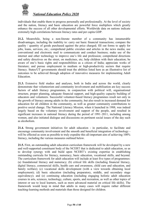

individuals that enable them to progress personally and professionally. At the level of society and the nation, literacy and basic education are powerful force multipliers which greatly enhance the success of all other developmental efforts. Worldwide data on nations indicate extremely high correlations between literacy rates and per capita GDP.

**21.2.** Meanwhile, being a non-literate member of a community has innumerable disadvantages, including the inability to: carry out basic financial transactions; compare the quality / quantity of goods purchased against the price charged; fill out forms to apply for jobs, loans, services, etc.; comprehend public circulars and articles in the news media; use conventional and electronic mail to communicate and conduct business; make use of the internet and other technology to improve one's life and profession; comprehend directions and safety directives on the street, on medicines, etc; help children with their education; be aware of one's basic rights and responsibilities as a citizen of India; appreciate works of literature; and pursue employment in medium or high-productivity sectors that require literacy. States/UT governments should treat the abilities listed here as an illustrative list of outcomes to be achieved through adoption of innovative measures for implementing Adult Education.

**21.3.** Extensive field studies and analyses, both in India and across the world, clearly demonstrate that volunteerism and community involvement and mobilisation are key success factors of adult literacy programmes, in conjunction with political will, organisational structure, proper planning, adequate financial support, and high-quality capacity building of educators and volunteers. Successful volunteer-based literacy programmes result not only in the growth of literacy among adults in the community, but also result in increased demand for education for all children in the community, as well as greater community contributions to positive social change. The National Literacy Mission, when it launched in 1988, was indeed largely based on the voluntary involvement and support of the people, and resulted in significant increases in national literacy during the period of 1991–2011, including among women, and also initiated dialogue and discussions on pertinent social issues of the day such as alcoholism.

**21.4.** Strong government initiatives for adult education - in particular, to facilitate and encourage community involvement and the smooth and beneficial integration of technology will be effected as soon as possible to truly expedite this all-important aim of achieving 100% literacy, including the various measures outlined below.

**21.5.** First, an outstanding adult education curriculum framework will be developed by a new and well-supported constituent body of the NCERT that is dedicated to adult education, so as to develop synergy with and build upon NCERT's existing expertise in establishing outstanding curricula for literacy, numeracy, basic education, vocational skills, and beyond. The curriculum framework for adult education will include at least five types of programmes: (a) foundational literacy and numeracy; (b) critical life skills (including financial literacy, digital literacy, commercial skills, health care and awareness, child care and education, and family welfare); (c) vocational skills development (with a view towards obtaining local employment); (d) basic education (including preparatory, middle, and secondary stage equivalency); and (e) continuing education (including engaging holistic adult education courses in arts, sciences, technology, culture, sports, and recreation, as well as other topics of interest or use to local learners, such as more advanced material on critical life skills). The framework would keep in mind that adults in many cases will require rather different teaching-learning methods and materials than those designed for children.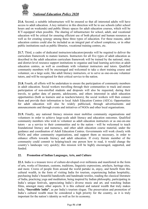

**21.6.** Second, a suitable infrastructure will be ensured so that all interested adults will have access to adult education. A key initiative in this direction will be to use schools (after school hours and on weekends) and public library spaces for adult education courses, which will be ICT-equipped when possible. The sharing of infrastructure for school, adult, and vocational education will be critical for ensuring efficient use of both physical and human resources as well as for creating synergy among these three types of education. For these reasons, adult education centres could also be included as an integral part of school complexes, or in other public institutions such as public libraries, vocational training centres, etc.

**21.7.** Third, a cadre of dedicated instructors/educators/preraks will be required to deliver the curriculum framework to mature learners. Instructors for all five types of adult education as described in the adult education curriculum framework will be trained by the national, state, and district-level resource support institutions to organise and lead learning activities at adult education centres, as well as coordinate with volunteer instructors and tutors. Qualified community members will be encouraged and welcomed to take a short training course and volunteer, on a large scale, like adult literacy instructors, or to serve as one-on-one volunteer tutors, and will be recognised for their critical service to the nation.

**21.8.** Fourth, all efforts will be undertaken to ensure the participation of community members in adult education. Social workers travelling through their communities to track and ensure participation of non-enrolled students and dropouts will also be requested, during their travels, to gather data of parents, adolescents, and others interested in adult education opportunities (both as learners and as teachers/tutors); the social workers will then connect them and provide their information to local Adult Education Centres (AECs). Opportunities for adult education will also be widely publicised, through advertisements and announcements and through events and initiatives of NGOs and other local organisations.

**21.9.** Finally, any national literacy mission must mobilise community organisations and volunteers in order to achieve large-scale adult literacy and education outcomes. Qualified community members who wish to volunteer as adult education instructors or as one-on-one tutors - as a service to their communities and to the nation - will be welcomed to teach foundational literacy and numeracy, and other adult education course material, under the guidance and coordination of Adult Education Centres. Governments will work closely with NGOs and other community organisations, and support them as necessary, in order to enhance efforts towards literacy and adult education. If every literate member of the community could commit to helping/teach one person how to read, it would change the country's landscape very quickly; this mission will be highly encouraged, supported, and funded.

# **22. Promotion of Indian Languages, Arts, and Culture**

**22.1.** India is a treasure trove of culture-developed over millennia and manifested in the form of arts, works of literature, customs, traditions, linguistic expressions, artefacts, heritage sites, and more. Crores of people from around the world partake in, enjoy, and benefit from this cultural wealth, in the form of visiting India for tourism, experiencing Indian hospitality, purchasing India's beautiful handicrafts and handmade textiles, reading the classical literature of India, practicing yoga and meditation, being inspired by Indian philosophy, participating in India's unique festivals, appreciating India's diverse music and art, and watching Indian films, amongst many other aspects. It is this cultural and natural wealth that truly makes India, **"Incredible !ndia"**, as per India's tourism slogan. The preservation and promotion of India's cultural wealth must be considered a high priority for the country, as it is truly important for the nation's identity as well as for its economy.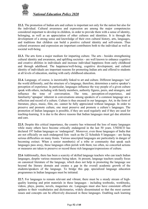

**22.2.** The promotion of Indian arts and culture is important not only for the nation but also for the individual. Cultural awareness and expression are among the major competencies considered important to develop in children, in order to provide them with a sense of identity, belonging, as well as an appreciation of other cultures and identities. It is through the development of a strong sense and knowledge of their own cultural history, arts, languages, and traditions that children can build a positive cultural identity and self-esteem. Thus cultural awareness and expression are important contributors both to the individual as well as societal well-being.

**22.3.** The arts form a major medium for imparting culture. The arts - besides strengthening cultural identity and awareness, and uplifting societies - are well known to enhance cognitive and creative abilities in individuals and increase individual happiness from early childhood and through adulthood. The happiness/well-being, cognitive development, and cultural identity of individuals are important reasons for promoting Indian arts and offered to students at all levels of education, starting with early childhood education.

**22.4.** Language, of course, is inextricably linked to art and culture. Different languages 'see' the world differently, and the structure of a language, therefore, determines a native speaker's perception of experience. In particular, languages influence the way people of a given culture speak with others, including with family members, authority figures, peers, and strangers, and influence the tone of conversation. The tone, perception-of-experience, and familiarity/'apnapan' inherent in conversations among speakers of a common language are a reflection and record of a culture. Culture is thus encased in our languages. Art, in the form of literature, plays, music, film, etc. cannot be fully appreciated without language. In order to preserve and promote culture, one must preserve and promote a culture's languages. The promotion of Indian languages is possible, if they are used regularly and if they are used for teaching-learning. It is due to the above reasons that Indian languages must get due attention and care.

**22.5.** Despite this critical importance, the country has witnessed the loss of many languages while many others have become critically endangered in the last 50 years. UNESCO has declared 197 Indian languages as 'endangered'. Moreover, even those languages of India that are not officially on such endangered lists -such as the 22 Schedule 8 languages - are facing serious difficulties on many fronts. Various unscripted languages are particularly in danger of becoming extinct. When a senior member(s) of a tribe or community that speak such languages pass away, these languages often perish with them; too often, no concerted actions or measures are taken to preserve or record these rich languages/expressions of culture.

**22.6** Additionally, there has been a scarcity of skilled language teachers who can teach Indian languages, despite various measures being taken. At present, language teachers usually focus on canonical literature of the language, which does not help in promoting the language use beyond the literary domain and creates a gap in the overall academic growth of the students/speakers of the language. To bridge this gap, specialized language education programmes in Indian languages must be initiated.

**22.7.** For languages to remain relevant and vibrant, there must be a steady stream of highquality learning and print materials in these languages - including textbooks, workbooks, videos, plays, poems, novels, magazines etc. Languages must also have consistent official updates to their vocabularies and dictionaries, widely disseminated so that the most current issues and concepts can be effectively discussed in these languages. Enabling such learning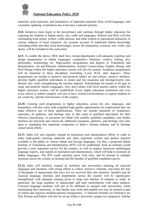

materials, print materials, and translations of important materials from world languages, and constantly updating vocabularies has to become a national priority.

**22.8.** Initiatives must begin at the pre-primary and continue through higher education for exposing the students to Indian music, arts, crafts and languages. Schools and HEIs will hire outstanding local artists, writers, crafts persons, and other experts as specialised instructors in various subjects of local expertise. An accurate account of traditional Indian knowledge (including tribal and other local knowledge), across the humanities, sciences, arts, crafts, and sports, will be included in the curriculum.

**22.9.** To enable the above, HEIs shall have strong departments with adequate expertise and design programmes in Indian languages, comparative literature, creative writing, arts, philosophy, archaeology etc. High-quality programmes and degrees in Translation and Interpretation, Art and Museum Administration, Artefact Conservation, Graphic Design, and Web Design within the higher education system will also be created. Academic programmes will be launched in these disciplines (including 4-year B.Ed. dual degrees). These programmes are needed to preserve and promote India's art and culture, conserve artefacts, develop highly qualified individuals to curate and run museums and heritage/tourist sites thereby also vastly strengthening the tourism industry. Scholarships for people of all ages to study and promote Indian Languages, Arts, and Culture with local masters and/or within the higher education system, will be established. Every higher education institution and even every school or school complex will aim to have Artist(s)-in-Residence to expose students to art, creativity, and the rich treasures of the country.

**22.10.** Creating such programmes in higher education, across the arts, languages, and humanities, will also come with expanded high-quality opportunities for employment that can make effective use of these qualifications. There are already hundreds of Academies, museums, art galleries, and heritage sites in dire need of qualified individuals for their effective functioning. As positions are filled with suitably qualified candidates, and further artefacts are procured and conserved, additional museums, galleries, and heritage sites may open to expanding this important component of India's tourism industry and its heritage conservation efforts.

**22.11.** India will also urgently expand its translation and interpretation efforts in order to make high-quality learning materials and other important written and spoken material available to the public in various Indian and foreign languages. For this, a proposed Indian Institute of Translation and Interpretation (IITI) will be established. Such an institute would provide a truly important service for the country, as well as employ numerous multilingual language experts, and experts in translation and interpretation, which will help to promote all Indian languages. The IITI could naturally grow with time, and be housed in multiple locations across the country as demand and the number of qualified candidates grows.

**22.12.** India will similarly expand its institutes and universities studying all classical languages and literature, with strong efforts to collect, preserve, translate, and study the tens of thousands of manuscripts that have not yet received their due attention. Sanskrit and all classical language institutes and departments across the country will be significantly strengthened, with adequate training given to large new batches of students to study, in particular, the large numbers of manuscripts and their interrelations with other subjects. Classical language institutes will aim to be affiliated or merged with universities, while maintaining their autonomy, so that faculty may work and students too may be trained as part of robust and rigorous multidisciplinary programmes. A National Institute (or Institutes) for Pali, Persian and Prakrit will also be set up within a university campus (or campuses). Similar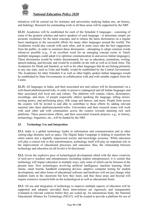

initiatives will be carried out for institutes and universities studying Indian arts, art history, and Indology. Research for outstanding work in all these areas will be supported by the NRF.

**22.13**, Academies will be established for each of the Schedule 8 languages - consisting of some of the greatest scholars and native speakers of each language - to determine simple yet accurate vocabulary for the latest concepts, and to release the latest dictionaries on a regular basis (analogous to the successful efforts for many other languages around the world). The Academies would also consult with each other, and in some cases take the best suggestions from the public, in order to construct these dictionaries - attempting to adopt common words whenever possible (e.g., if an excellent word for an emerging concept exists in Tamil, multiple languages could adopt it to optimise communication in and across Indian languages). These dictionaries would be widely disseminated, for use in education, journalism, writing, speech-making, and beyond, and would be available on the web as well as in book form. The Academies for Hindi and Sanskrit, as well as for other languages that do not belong primarily to any one state, such as Urdu and Sindhi, would be established by the Central Government. The Academies for other Schedule 8 as well as other highly spoken Indian languages would be established by State Governments in collaboration with and with suitable support from the Centre.

**22.15.** All languages in India, and their associated arts and culture will be documented via a web-based platform/portal/wiki, in order to preserve endangered and all Indian languages and their associated rich local arts and culture. The platform will contain videos, dictionaries, recordings, and more, of people (especially elders) speaking the language, telling stories, reciting poetry, and performing plays, folk songs and dances, and more. People from across the country will be invited to and able to contribute to these efforts by adding relevant material onto these platforms/portals/wikis. Universities and their research teams will work with each other and with communities across the country towards attaining rich such platforms. These preservation efforts, and their associated research projects, e.g., in history, archaeology, linguistics, etc., will be funded by the NRF.

## **23. Technology Use and Integration**

**23.1.** India is a global technology leader in information and communication and in other cutting-edge domains such as space. The Digital India Campaign is helping to transform the entire nation into a digitally empowered society and knowledge economy. While education will play a critical role in this transformation, technology itself will play an important role in the improvement of educational processes and outcomes; thus, the relationship between technology and education (at all levels) is bi-directional.

**23.2.** Given the explosive pace of technological development allied with the sheer creativity of tech-savvy teachers and entrepreneurs (including student entrepreneurs), it is certain that technology will impact education in multiple ways, only some of which can be foreseen at the present time. New technologies involving artificial intelligence, machine learning, block chains, smart boards, handheld computing devices, adaptive computer testing for student development, and other forms of educational software and hardware will not just change what students learn in the classroom but how they learn, and thus these areas and beyond will require extensive research both on the technological as well as educational fronts.

**23.3.** All use and integration of technology to improve multiple aspects of education will be supported and adopted, provided these interventions are rigorously and transparently evaluated in relevant contexts before they are scaled up. An autonomous body, the National Educational Alliance for Technology (NEAT), will be created to provide a platform for use of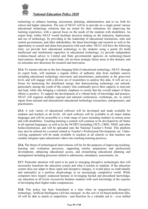

technology to enhance learning, assessment, planning, administration, and so on, both for school and higher education. The aim of NEAT will be to provide on a single portal various educational technology solutions that are tested for their robustness for improving the learning experience, with a special focus on the needs of the students with disabilities. An expert body within NEAT would facilitate decision making on the induction, deployment, and use of technology, by providing to the leadership of educational institutions, state and central governments, and other stakeholders, the latest knowledge and research as well as the opportunity to consult and share best practices with each other. NEAT will have the following roles: (a) provide best educational technology to the students using a portal (b) build intellectual and institutional capacities in educational technology; (c) provide independent evidence-based advice to Central and State governmental agencies on technology-based interventions, through its expert body; (d) envision strategic thrust areas in this domain; and (e) articulate new directions for research and innovation.

**23.4.** To remain relevant in the fast-changing field of educational technology, NEAT, through its expert body, will maintain a regular inflow of authentic data from multiple sources including educational technology innovators and practitioners, particularly at the grass-root level, and will engage with a diverse set of researchers to analyse this data. It will act as a forum for harnessing the distributed energy that democratising technology can unleash, particularly among the youth of the country who continually prove their capacity to innovate and lead, while also bringing a scholarly emphasis to ensure that the overall impact of these efforts is positive. To support the development of a vibrant body of knowledge and practice, NEAT will organise multiple regional and national conferences, workshops, etc. to solicit inputs from national and international educational technology researchers, entrepreneurs, and practitioners.

**23.5.** A rich variety of educational software will be developed and made available for students and teachers at all levels. All such software will be available in all major Indian languages and will be accessible to a wide range of users including students in remote areas and with disabilities. Teaching-learning e-content will continue to be developed by all States in all regional languages, as well as by the NCERT (including CIET), CBSE, NIOS, and other bodies/institutions, and will be uploaded onto the National Teacher's Portal. This platform may also be utilised for e-content related to Teacher's Professional Development, etc. Videoviewing equipment will be made available to teachers at all schools so that teachers can suitably integrate open educational videos into teaching-learning practices.

**23.6.** The thrust of technological interventions will be for the purposes of improving teachinglearning and evaluation processes, supporting teacher preparation and professional development, enhancing educational access, and streamlining educational planning and management including processes related to admissions, attendance, assessments, etc.

**23.7.** Particular attention will need to be paid to emerging disruptive technologies that will necessarily transform the education system and what it teaches to students. If the education system does not adapt to these rapid and disruptive changes, it would place us (individually and nationally) at a perilous disadvantage in an increasingly competitive world. While computers have largely surpassed humans in leveraging factual and procedural knowledge, our education at all levels excessively burdens students with such knowledge at the expense of developing their higher-order competencies.

**23.8.** This policy has been formulated at a time when an unquestionably disruptive technology, Artificial Intelligence (AI) has emerged. As the cost of AI-based prediction falls, AI will be able to match or outperform - and therefore be a valuable aid to - even skilled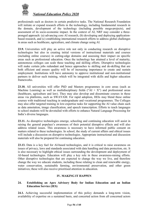

professionals such as doctors in certain predictive tasks. The National Research Foundation will initiate or expand research efforts in the technology, including fundamental research in the domain, development of the technology (including possible mega-projects), and assessment of its socio-economic impact. In the context of AI, NRF may consider a threepronged approach: (a) advancing core AI research, (b) developing and deploying applicationbased research, and (c) establishing international research efforts to address global challenges in areas such as healthcare, agriculture, and climate change using AI.

**23.9.** Universities will play an active role not only in conducting research on disruptive technologies but also in creating initial versions of instructional materials and courses (including online courses) in cutting-edge domains and assessing their impact on specific areas such as professional education. Once the technology has attained a level of maturity, autonomous colleges can scale these teaching and skilling efforts. Disruptive technologies will make certain jobs redundant and hence approaches to skilling and de-skilling that are both efficient and ensure quality will be of increasing importance to create and sustain employment. Institutions will have autonomy to approve institutional and non-institutional partners to deliver such training, which will be integrated with skills and higher education frameworks.

**23.10.** All universities will offer PhD and Masters programmes in core areas (such as Machine Learning) as well as multidisciplinary fields (" $AI + X$ ") and professional areas (healthcare, agriculture and law). They may also develop and disseminate courses in these areas via platforms, such as SWAYAM. For rapid adoption, HEIs may blend these online courses with traditional teaching in undergraduate and vocational programmes. The Colleges may also offer targeted training in low-expertise tasks for supporting the AI value chain such as data annotation, image classification, and speech transcription. Efforts to teach languages to school students will be dovetailed with efforts to enhance Natural Language Processing for India's diverse languages.

**23.11.** As disruptive technologies emerge, schooling and continuing education will assist in raising the general populace's awareness of their potential disruptive effects and will also address related issues. This awareness is necessary to have informed public consent on matters related to these technologies. In school, the study of current affairs and ethical issues will include a discussion on disruptive technologies. Appropriate instructional and discussion materials will also be prepared for continuing education.

**23.13.** Data is a key fuel for AI-based technologies, and it is critical to raise awareness on issues of privacy, laws and standards associated with data handling and data protection, etc. It is also necessary to highlight ethical issues surrounding the development and deployment of AI-based technologies. Education will play a key role in these awareness-raising efforts. Other disruptive technologies that are expected to change the way we live, and therefore change the way we educate students, including those relating to clean and renewable energy, water conservation, sustainable farming, environmental preservation, and other green initiatives; these will also receive prioritised attention in education.

# **IV. MAKING IT HAPPEN**

## **24. Establishing an Apex Advisory Body for Indian Education and an Indian Education Service (IES)**

**24.1.** Achieving successful implementation of this policy demands a long-term vision, availability of expertise on a sustained basis, and concerted action from all concerned actors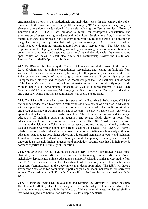

encompassing national, state, institutional, and individual levels. In this context, the policy recommends the creation of a Rashtriya Shiksha Aayog (RSA), an apex advisory body for elementary to university education in India duly replacing the Central Advisory Board of Education (CABE). CABE has provided a forum for widespread consultation and examination of issues relating to educational and cultural development. But, in view of the manifold changes taking place in the country along with the futuristic trends of education in the global context, it is imperative that Rashtriya Shiksha Aayog (RSA), be formed to lead the much needed wide-ranging reforms required for a great leap forward. The RSA shall be responsible for developing, articulating, evaluating, and revising the vision of education in the country on a continuous and sustained basis, in close collaboration with the corresponding apex bodies of States. It shall also create and continuously review the institutional frameworks that shall help attain this vision.

**24.2.** The RSA will be chaired by the Minister of Education and shall consist of 30 members, 2/3rd of whom shall be eminent educationists, researchers, and leading professionals from various fields such as the arts, science, business, health, agriculture, and social work, from India or eminent people of Indian origin; these members shall be of high expertise, unimpeachable integrity, and independence. Membership of the RSA shall also include some of the Union Ministers, in rotation, whose ministries impact education directly (e.g. Health, Woman and Child Development, Finance), as well as a representative of each State Governments/UT administration, NITI Aayog, the Secretaries in the Ministry of Education, and other such senior bureaucrats/administrators as deemed appropriate.

**24.3.** The RSA will have a Permanent Secretariat of the Rashtriya Shiksha Aayog (PSRSA) that will be headed by an Executive Director who shall be a person of eminence in education, with a deep understanding of India's education system, a record of stellar public contribution, and broad experience of administration and leadership. The ED will have a five-year term of appointment, which will be renewable one time. The ED shall be empowered to engage adequate staff including experts in education and related fields either on loan from educational institutions or recruited on a tenure basis. The PSRSA will be charged with translating the vision of the RSA into action, assessing progress through continually analysing data and making recommendations for corrective actions as needed. The PSRSA will form a reliable base of capable educationists across a range of specialties (such as early childhood education, school education, higher education, educational management, equity and inclusion, formative assessment, education technology, multidisciplinary teaching and research, undergraduate research, Indian languages and knowledge systems, etc.) that will help provide constant expertise to the Ministry of Education.

**24.4.** Similar to the RSA, a Rajya Shiksha Aayog (RjSA) may be constituted in each State, chaired by the Education Minister, and can have the following members: Ministers of other stakeholder departments, eminent educationists and professionals a senior representative from the RSA, the secretaries in the Department of Education, and other such senior bureaucrats/administrators as the government may deem appropriate. The RjSA will have a Permanent Secretariat for continuous expert analysis and recommendations for corrective actions. The creation of the RjSPs in the States will also facilitate better coordination with the RSA.

**24.5.** To bring the focus back on education and learning, the Ministry of Human Resource Development (MHRD) shall be re-designated as the Ministry of Education (MoE). The existing functions and roles within the Ministry of Education (and related ministries) shall be reviewed, mapped, and harmonised with the RSA for complementarity.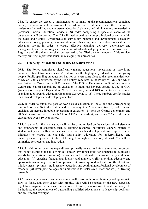

**24.6.** To ensure the effective implementation of many of the recommendations contained herein, the concomitant expansion of the administrative structures and the creation of professionally-qualified and competent educational planners and administrators are needed. A permanent Indian Education Service (IES) cadre comprising a specialist cadre of the bureaucracy will be created. The IES will institutionalise a core professional capacity within the State and Central Governments in curriculum planning and development, pedagogy, educational policy, planning, administration and financing under the sub-sectors within the education sector, in order to ensure effective planning, delivery, governance and management, and monitoring and evaluation of educational programmes. The positions of Registrars of all universities shall be reserved to be filled by the members of this service, thereby bringing in professionalism in managing the universities.

# **25. Financing: Affordable and Quality Education for All**

**25.1.** The Policy commits to significantly raising educational investment, as there is no better investment towards a society's future than the high-quality education of our young people. Public spending on education has not yet even come close to the recommended level of 6% of GDP, as envisaged by the 1968 Policy, reiterated in the Policy of 1986, and which was further reaffirmed in the 1992 review of the Policy. The current public (Government - Centre and States) expenditure on education in India has hovered around 4.43% of GDP (Analysis of Budgeted Expenditure 2017-18); and only around 10% of the total Government spending goes towards education (Economic Survey 2017-18). These numbers are far smaller than most developed and developing countries.

**25.2.** In order to attain the goal of world-class education in India, and the corresponding multitude of benefits to this Nation and its economy, this Policy unequivocally endorses and envisions an increase in public investment in education - by both the Central government and all State Governments - to reach 6% of GDP at the earliest, and reach 20% of all public expenditure over a 10-year period.

**25.3.** In particular, financial support will not be compromised on the various critical elements and components of education, such as learning resources, nutritional support, matters of student safety and well-being, adequate staffing, teacher development, and support for all initiatives to ensure an equitable high-quality education for underprivileged and underrepresented groups. Of the total budget in higher education, at least 2% will be earmarked for research and innovation.

**25.4.** In addition to one-time expenditures, primarily related to infrastructure and resources, this Policy identifies the following key longer-term thrust areas for financing to cultivate a world-class education system: (i) expanding and continually improving early childhood education; (ii) ensuring foundational literacy and numeracy; (iii) providing adequate and appropriate resourcing of school complexes; (iv) providing food and nutrition (breakfast and midday meals); (v) investing in teacher education and continuing professional development of teachers; (vi) revamping colleges and universities to foster excellence; and (vii) cultivating research.

**25.5.** Financial governance and management will focus on the smooth, timely and appropriate flow of funds, and their usage with probity. This will be enabled by the new suggested regulatory regime, with clear separations of roles, empowerment and autonomy to institutions, the appointment of outstanding qualified educationists to leadership positions, and enlightened oversight.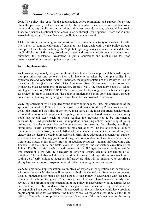

**25.6.** The Policy also calls for the rejuvenation, active promotion, and support for private philanthropic activity in the education sector. In particular, to incentivise such philanthropic participation, any public institution taking initiatives towards raising private philanthropic funds to enhance educational experiences (such as through Development Offices and Alumni Associations, etc.) will never have any public funds cut as a result.

**25.7.** Education is a public good and must not be a commercial activity or a source of profit. The matter of commercialisation of education has been dealt with by the Policy through multiple relevant fronts, including: the 'light but tight' regulatory approach that mandates full public disclosure of finances, procedures, course and programme offerings, and educational outcomes; the substantial investment in public education; and mechanisms for good governance of all institutions, public and private.

## **26. Implementation**

**26.1.** Any policy is only as good as its implementation. Such implementation will require multiple initiatives and actions, which will have to be taken by multiple bodies in a synchronised and systematic manner. Therefore, the implementation of this Policy will be led by various bodies (including MoE, RSA, Union and State Governments, education-related Ministries, State Departments of Education, Boards, NTA, the regulatory bodies of school and higher education, NCERT, SCERTs, schools, and HEIs) along with timelines and a plan for review, in order to ensure that the policy is implemented in its spirit and intent, through coherence in planning and synergy across all these bodies involved in education.

**26.2.** Implementation will be guided by the following principles. First, implementation of the spirit and intent of the Policy will be the most critical matter. While the Policy provides much detail, the intent and the spirit of the Policy must serve as the most important consideration. Second, it is important to implement the policy initiatives in a phased manner, as each policy point has several steps, each of which requires the previous step to be implemented successfully. Third, prioritisation will be important in ensuring optimal sequencing of policy points, and that the most critical and urgent actions are taken up first, thereby enabling a strong base. Fourth, comprehensiveness in implementation will be the key; as this Policy is interconnected and holistic, only a full-fledged implementation, and not a piecemeal one, will ensure that the desired objectives are achieved. Fifth, since education is a concurrent subject, it will need careful planning, joint monitoring, and collaborative implementation between the Centre and States. Sixth, timely infusion of requisite resources - human, infrastructural, and financial - at the Central and State levels will be key for the satisfactory execution of the Policy. Finally, careful analysis and review of the linkages between multiple parallel implementation steps will be necessary in order to ensure effective dovetailing of all initiatives. This will also include early investment in some of the specific actions (such as the setting up of early childhood education infrastructure) that will be imperative to ensuring a strong base and a smooth progression for all subsequent programmes and actions.

**26.3.** Subject-wise implementation committees of experts in cooperation and consultation with other relevant Ministries will be set up at both the Central and State levels to develop detailed implementation plans for each aspect of this Policy in accordance with the above principles to achieve the goals of the Policy in a clear and phased manner. Yearly joint reviews of the progress of implementation of the policy, in accordance with the targets set for each action, will be conducted by a designated team constituted by RSA and the corresponding State body. By 2030, it is expected that the past decade would have provided ample opportunities for evaluation, fine-tuning as well as major changes, if called for, to be effected. Thereafter, a comprehensive review of the status of the implementation of the policy